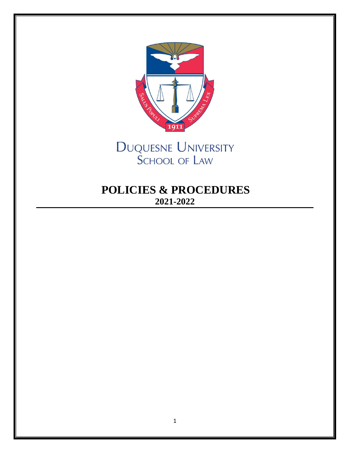

DUQUESNE UNIVERSITY **SCHOOL OF LAW** 

# **POLICIES & PROCEDURES 2021-2022**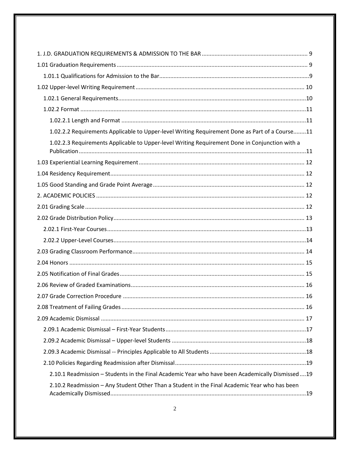| 1.02.2.2 Requirements Applicable to Upper-level Writing Requirement Done as Part of a Course11    |  |
|---------------------------------------------------------------------------------------------------|--|
| 1.02.2.3 Requirements Applicable to Upper-level Writing Requirement Done in Conjunction with a    |  |
|                                                                                                   |  |
|                                                                                                   |  |
|                                                                                                   |  |
|                                                                                                   |  |
|                                                                                                   |  |
|                                                                                                   |  |
|                                                                                                   |  |
|                                                                                                   |  |
|                                                                                                   |  |
|                                                                                                   |  |
|                                                                                                   |  |
|                                                                                                   |  |
|                                                                                                   |  |
|                                                                                                   |  |
|                                                                                                   |  |
|                                                                                                   |  |
|                                                                                                   |  |
|                                                                                                   |  |
|                                                                                                   |  |
| 2.10.1 Readmission - Students in the Final Academic Year who have been Academically Dismissed  19 |  |
| 2.10.2 Readmission - Any Student Other Than a Student in the Final Academic Year who has been     |  |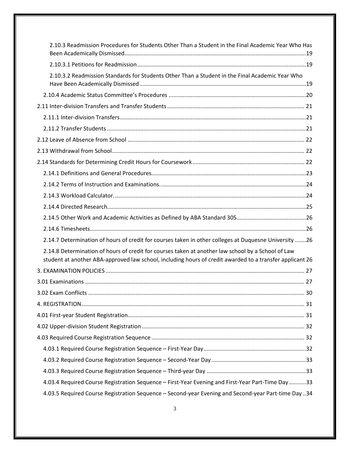| 2.10.3 Readmission Procedures for Students Other Than a Student in the Final Academic Year Who Has                                                                                                             |
|----------------------------------------------------------------------------------------------------------------------------------------------------------------------------------------------------------------|
|                                                                                                                                                                                                                |
| 2.10.3.2 Readmission Standards for Students Other Than a Student in the Final Academic Year Who                                                                                                                |
|                                                                                                                                                                                                                |
|                                                                                                                                                                                                                |
|                                                                                                                                                                                                                |
|                                                                                                                                                                                                                |
|                                                                                                                                                                                                                |
|                                                                                                                                                                                                                |
|                                                                                                                                                                                                                |
|                                                                                                                                                                                                                |
|                                                                                                                                                                                                                |
|                                                                                                                                                                                                                |
|                                                                                                                                                                                                                |
|                                                                                                                                                                                                                |
|                                                                                                                                                                                                                |
| 2.14.7 Determination of hours of credit for courses taken in other colleges at Duquesne University 26                                                                                                          |
| 2.14.8 Determination of hours of credit for courses taken at another law school by a School of Law<br>student at another ABA-approved law school, including hours of credit awarded to a transfer applicant 26 |
|                                                                                                                                                                                                                |
|                                                                                                                                                                                                                |
|                                                                                                                                                                                                                |
|                                                                                                                                                                                                                |
|                                                                                                                                                                                                                |
|                                                                                                                                                                                                                |
|                                                                                                                                                                                                                |
|                                                                                                                                                                                                                |
|                                                                                                                                                                                                                |
|                                                                                                                                                                                                                |
| 4.03.4 Required Course Registration Sequence - First-Year Evening and First-Year Part-Time Day33                                                                                                               |
| 4.03.5 Required Course Registration Sequence - Second-year Evening and Second-year Part-time Day 34                                                                                                            |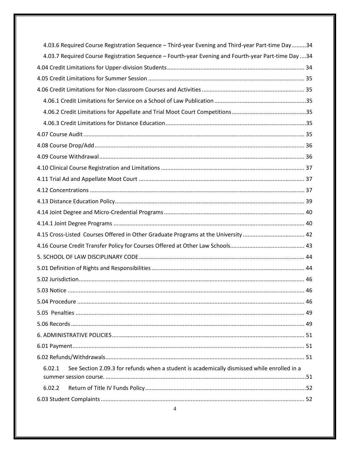| 4.03.6 Required Course Registration Sequence - Third-year Evening and Third-year Part-time Day34      |
|-------------------------------------------------------------------------------------------------------|
| 4.03.7 Required Course Registration Sequence - Fourth-year Evening and Fourth-year Part-time Day 34   |
|                                                                                                       |
|                                                                                                       |
|                                                                                                       |
|                                                                                                       |
|                                                                                                       |
|                                                                                                       |
|                                                                                                       |
|                                                                                                       |
|                                                                                                       |
|                                                                                                       |
|                                                                                                       |
|                                                                                                       |
|                                                                                                       |
|                                                                                                       |
|                                                                                                       |
|                                                                                                       |
|                                                                                                       |
|                                                                                                       |
|                                                                                                       |
|                                                                                                       |
|                                                                                                       |
|                                                                                                       |
|                                                                                                       |
|                                                                                                       |
|                                                                                                       |
|                                                                                                       |
|                                                                                                       |
| See Section 2.09.3 for refunds when a student is academically dismissed while enrolled in a<br>6.02.1 |
| 6.02.2                                                                                                |
|                                                                                                       |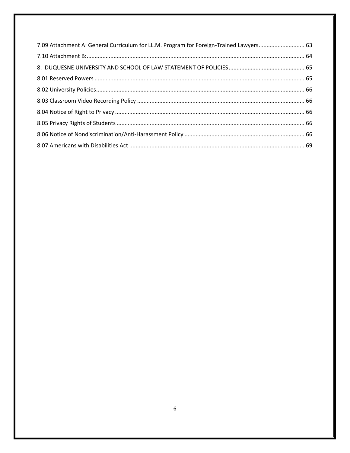| 7.09 Attachment A: General Curriculum for LL.M. Program for Foreign-Trained Lawyers 63 |  |
|----------------------------------------------------------------------------------------|--|
|                                                                                        |  |
|                                                                                        |  |
|                                                                                        |  |
|                                                                                        |  |
|                                                                                        |  |
|                                                                                        |  |
|                                                                                        |  |
|                                                                                        |  |
|                                                                                        |  |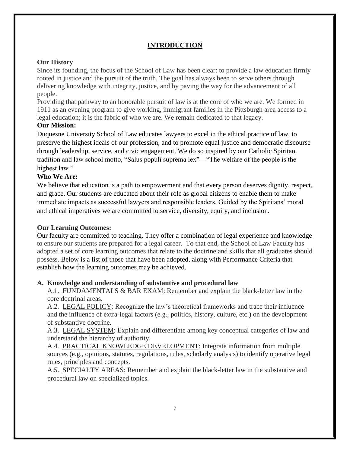# **INTRODUCTION**

### **Our History**

Since its founding, the focus of the School of Law has been clear: to provide a law education firmly rooted in justice and the pursuit of the truth. The goal has always been to serve others through delivering knowledge with integrity, justice, and by paving the way for the advancement of all people.

Providing that pathway to an honorable pursuit of law is at the core of who we are. We formed in 1911 as an evening program to give working, immigrant families in the Pittsburgh area access to a legal education; it is the fabric of who we are. We remain dedicated to that legacy.

### **Our Mission:**

Duquesne University School of Law educates lawyers to excel in the ethical practice of law, to preserve the highest ideals of our profession, and to promote equal justice and democratic discourse through leadership, service, and civic engagement. We do so inspired by our Catholic Spiritan tradition and law school motto, "Salus populi suprema lex"—"The welfare of the people is the highest law."

### **Who We Are:**

We believe that education is a path to empowerment and that every person deserves dignity, respect, and grace. Our students are educated about their role as global citizens to enable them to make immediate impacts as successful lawyers and responsible leaders. Guided by the Spiritans' moral and ethical imperatives we are committed to service, diversity, equity, and inclusion.

### **Our Learning Outcomes:**

Our faculty are committed to teaching. They offer a combination of legal experience and knowledge to ensure our students are prepared for a legal career. To that end, the School of Law Faculty has adopted a set of core learning outcomes that relate to the doctrine and skills that all graduates should possess. Below is a list of those that have been adopted, along with Performance Criteria that establish how the learning outcomes may be achieved.

# **A. Knowledge and understanding of substantive and procedural law**

A.1. FUNDAMENTALS & BAR EXAM: Remember and explain the black-letter law in the core doctrinal areas.

A.2. LEGAL POLICY: Recognize the law's theoretical frameworks and trace their influence and the influence of extra-legal factors (e.g., politics, history, culture, etc.) on the development of substantive doctrine.

A.3. LEGAL SYSTEM: Explain and differentiate among key conceptual categories of law and understand the hierarchy of authority.

A.4. PRACTICAL KNOWLEDGE DEVELOPMENT: Integrate information from multiple sources (e.g., opinions, statutes, regulations, rules, scholarly analysis) to identify operative legal rules, principles and concepts.

A.5. SPECIALTY AREAS: Remember and explain the black-letter law in the substantive and procedural law on specialized topics.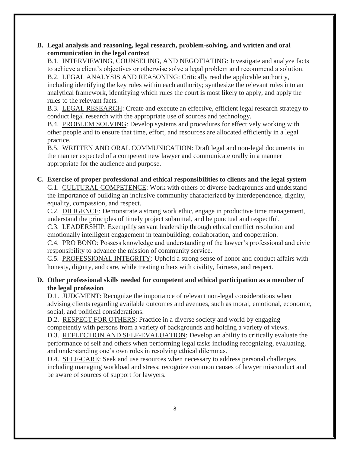### **B. Legal analysis and reasoning, legal research, problem-solving, and written and oral communication in the legal context**

B.1. INTERVIEWING, COUNSELING, AND NEGOTIATING: Investigate and analyze facts to achieve a client's objectives or otherwise solve a legal problem and recommend a solution. B.2. LEGAL ANALYSIS AND REASONING: Critically read the applicable authority, including identifying the key rules within each authority; synthesize the relevant rules into an analytical framework, identifying which rules the court is most likely to apply, and apply the rules to the relevant facts.

B.3. LEGAL RESEARCH: Create and execute an effective, efficient legal research strategy to conduct legal research with the appropriate use of sources and technology.

B.4. PROBLEM SOLVING: Develop systems and procedures for effectively working with other people and to ensure that time, effort, and resources are allocated efficiently in a legal practice.

B.5. WRITTEN AND ORAL COMMUNICATION: Draft legal and non-legal documents in the manner expected of a competent new lawyer and communicate orally in a manner appropriate for the audience and purpose.

# **C. Exercise of proper professional and ethical responsibilities to clients and the legal system**

C.1. CULTURAL COMPETENCE: Work with others of diverse backgrounds and understand the importance of building an inclusive community characterized by interdependence, dignity, equality, compassion, and respect.

C.2. DILIGENCE: Demonstrate a strong work ethic, engage in productive time management, understand the principles of timely project submittal, and be punctual and respectful.

C.3. LEADERSHIP: Exemplify servant leadership through ethical conflict resolution and emotionally intelligent engagement in teambuilding, collaboration, and cooperation.

C.4. PRO BONO: Possess knowledge and understanding of the lawyer's professional and civic responsibility to advance the mission of community service.

C.5. PROFESSIONAL INTEGRITY: Uphold a strong sense of honor and conduct affairs with honesty, dignity, and care, while treating others with civility, fairness, and respect.

# **D. Other professional skills needed for competent and ethical participation as a member of the legal profession**

D.1. JUDGMENT: Recognize the importance of relevant non-legal considerations when advising clients regarding available outcomes and avenues, such as moral, emotional, economic, social, and political considerations.

D.2. RESPECT FOR OTHERS: Practice in a diverse society and world by engaging competently with persons from a variety of backgrounds and holding a variety of views.

D.3. REFLECTION AND SELF-EVALUATION: Develop an ability to critically evaluate the performance of self and others when performing legal tasks including recognizing, evaluating, and understanding one's own roles in resolving ethical dilemmas.

D.4. SELF-CARE: Seek and use resources when necessary to address personal challenges including managing workload and stress; recognize common causes of lawyer misconduct and be aware of sources of support for lawyers.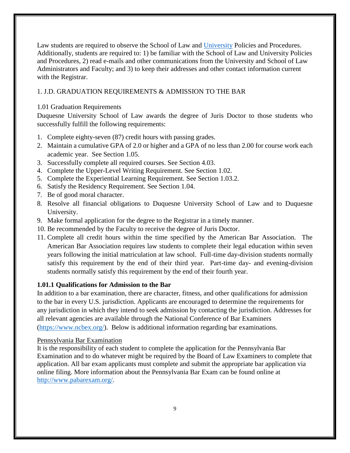Law students are required to observe the School of Law and [University](https://www.duq.edu/assets/Documents/student-conduct/_pdf/Student%20Handbook%203.10.21.pdf) Policies and Procedures. Additionally, students are required to: 1) be familiar with the School of Law and University Policies and Procedures, 2) read e-mails and other communications from the University and School of Law Administrators and Faculty; and 3) to keep their addresses and other contact information current with the Registrar.

# <span id="page-8-0"></span>1. J.D. GRADUATION REQUIREMENTS & ADMISSION TO THE BAR

### <span id="page-8-1"></span>1.01 Graduation Requirements

Duquesne University School of Law awards the degree of Juris Doctor to those students who successfully fulfill the following requirements:

- 1. Complete eighty-seven (87) credit hours with passing grades.
- 2. Maintain a cumulative GPA of 2.0 or higher and a GPA of no less than 2.00 for course work each academic year. See Section 1.05.
- 3. Successfully complete all required courses. See Section 4.03.
- 4. Complete the Upper-Level Writing Requirement. See Section 1.02.
- 5. Complete the Experiential Learning Requirement. See Section 1.03.2.
- 6. Satisfy the Residency Requirement. See Section 1.04.
- 7. Be of good moral character.
- 8. Resolve all financial obligations to Duquesne University School of Law and to Duquesne University.
- 9. Make formal application for the degree to the Registrar in a timely manner.
- 10. Be recommended by the Faculty to receive the degree of Juris Doctor.
- 11. Complete all credit hours within the time specified by the American Bar Association. The American Bar Association requires law students to complete their legal education within seven years following the initial matriculation at law school. Full-time day-division students normally satisfy this requirement by the end of their third year. Part-time day- and evening-division students normally satisfy this requirement by the end of their fourth year.

# <span id="page-8-2"></span>**1.01.1 Qualifications for Admission to the Bar**

In addition to a bar examination, there are character, fitness, and other qualifications for admission to the bar in every U.S. jurisdiction. Applicants are encouraged to determine the requirements for any jurisdiction in which they intend to seek admission by contacting the jurisdiction. Addresses for all relevant agencies are available through the National Conference of Bar Examiners [\(https://www.ncbex.org/\)](https://www.ncbex.org/). Below is additional information regarding bar examinations.

### Pennsylvania Bar Examination

It is the responsibility of each student to complete the application for the Pennsylvania Bar Examination and to do whatever might be required by the Board of Law Examiners to complete that application. All bar exam applicants must complete and submit the appropriate bar application via online filing. More information about the Pennsylvania Bar Exam can be found online at [http://www.pabarexam.org/.](http://www.pabarexam.org/)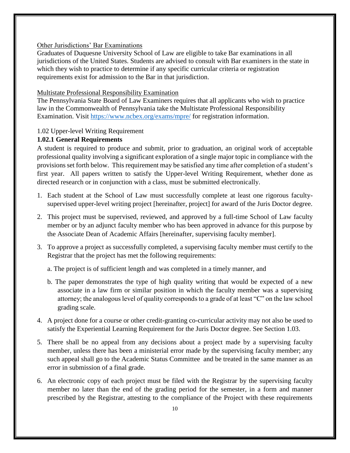### Other Jurisdictions' Bar Examinations

Graduates of Duquesne University School of Law are eligible to take Bar examinations in all jurisdictions of the United States. Students are advised to consult with Bar examiners in the state in which they wish to practice to determine if any specific curricular criteria or registration requirements exist for admission to the Bar in that jurisdiction.

### Multistate Professional Responsibility Examination

The Pennsylvania State Board of Law Examiners requires that all applicants who wish to practice law in the Commonwealth of Pennsylvania take the Multistate Professional Responsibility Examination. Visit<https://www.ncbex.org/exams/mpre/> for registration information.

### <span id="page-9-0"></span>1.02 Upper-level Writing Requirement

### <span id="page-9-1"></span>**1.02.1 General Requirements**

A student is required to produce and submit, prior to graduation, an original work of acceptable professional quality involving a significant exploration of a single major topic in compliance with the provisions set forth below. This requirement may be satisfied any time after completion of a student's first year. All papers written to satisfy the Upper-level Writing Requirement, whether done as directed research or in conjunction with a class, must be submitted electronically.

- 1. Each student at the School of Law must successfully complete at least one rigorous facultysupervised upper-level writing project [hereinafter, project] for award of the Juris Doctor degree.
- 2. This project must be supervised, reviewed, and approved by a full-time School of Law faculty member or by an adjunct faculty member who has been approved in advance for this purpose by the Associate Dean of Academic Affairs [hereinafter, supervising faculty member].
- 3. To approve a project as successfully completed, a supervising faculty member must certify to the Registrar that the project has met the following requirements:

a. The project is of sufficient length and was completed in a timely manner, and

- b. The paper demonstrates the type of high quality writing that would be expected of a new associate in a law firm or similar position in which the faculty member was a supervising attorney; the analogous level of quality corresponds to a grade of at least "C" on the law school grading scale.
- 4. A project done for a course or other credit-granting co-curricular activity may not also be used to satisfy the Experiential Learning Requirement for the Juris Doctor degree. See Section 1.03.
- 5. There shall be no appeal from any decisions about a project made by a supervising faculty member, unless there has been a ministerial error made by the supervising faculty member; any such appeal shall go to the Academic Status Committee and be treated in the same manner as an error in submission of a final grade.
- 6. An electronic copy of each project must be filed with the Registrar by the supervising faculty member no later than the end of the grading period for the semester, in a form and manner prescribed by the Registrar, attesting to the compliance of the Project with these requirements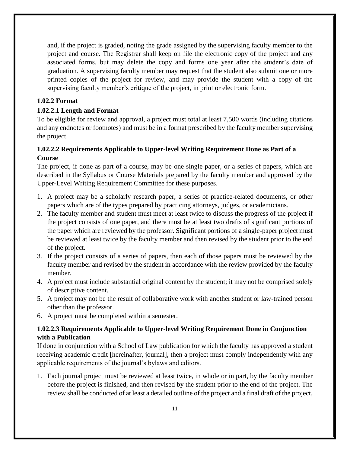and, if the project is graded, noting the grade assigned by the supervising faculty member to the project and course. The Registrar shall keep on file the electronic copy of the project and any associated forms, but may delete the copy and forms one year after the student's date of graduation. A supervising faculty member may request that the student also submit one or more printed copies of the project for review, and may provide the student with a copy of the supervising faculty member's critique of the project, in print or electronic form.

# <span id="page-10-0"></span>**1.02.2 Format**

# <span id="page-10-1"></span>**1.02.2.1 Length and Format**

To be eligible for review and approval, a project must total at least 7,500 words (including citations and any endnotes or footnotes) and must be in a format prescribed by the faculty member supervising the project.

# <span id="page-10-2"></span>**1.02.2.2 Requirements Applicable to Upper-level Writing Requirement Done as Part of a Course**

The project, if done as part of a course, may be one single paper, or a series of papers, which are described in the Syllabus or Course Materials prepared by the faculty member and approved by the Upper-Level Writing Requirement Committee for these purposes.

- 1. A project may be a scholarly research paper, a series of practice-related documents, or other papers which are of the types prepared by practicing attorneys, judges, or academicians.
- 2. The faculty member and student must meet at least twice to discuss the progress of the project if the project consists of one paper, and there must be at least two drafts of significant portions of the paper which are reviewed by the professor. Significant portions of a single-paper project must be reviewed at least twice by the faculty member and then revised by the student prior to the end of the project.
- 3. If the project consists of a series of papers, then each of those papers must be reviewed by the faculty member and revised by the student in accordance with the review provided by the faculty member.
- 4. A project must include substantial original content by the student; it may not be comprised solely of descriptive content.
- 5. A project may not be the result of collaborative work with another student or law-trained person other than the professor.
- 6. A project must be completed within a semester.

# <span id="page-10-3"></span>**1.02.2.3 Requirements Applicable to Upper-level Writing Requirement Done in Conjunction with a Publication**

If done in conjunction with a School of Law publication for which the faculty has approved a student receiving academic credit [hereinafter, journal], then a project must comply independently with any applicable requirements of the journal's bylaws and editors.

1. Each journal project must be reviewed at least twice, in whole or in part, by the faculty member before the project is finished, and then revised by the student prior to the end of the project. The review shall be conducted of at least a detailed outline of the project and a final draft of the project,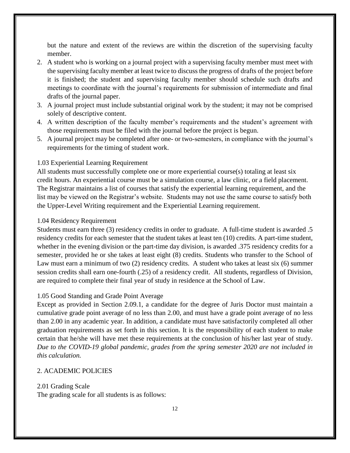but the nature and extent of the reviews are within the discretion of the supervising faculty member.

- 2. A student who is working on a journal project with a supervising faculty member must meet with the supervising faculty member at least twice to discuss the progress of drafts of the project before it is finished; the student and supervising faculty member should schedule such drafts and meetings to coordinate with the journal's requirements for submission of intermediate and final drafts of the journal paper.
- 3. A journal project must include substantial original work by the student; it may not be comprised solely of descriptive content.
- 4. A written description of the faculty member's requirements and the student's agreement with those requirements must be filed with the journal before the project is begun.
- 5. A journal project may be completed after one- or two-semesters, in compliance with the journal's requirements for the timing of student work.

#### <span id="page-11-0"></span>1.03 Experiential Learning Requirement

All students must successfully complete one or more experiential course(s) totaling at least six credit hours. An experiential course must be a simulation course, a law clinic, or a field placement. The Registrar maintains a list of courses that satisfy the experiential learning requirement, and the list may be viewed on the Registrar's website. Students may not use the same course to satisfy both the Upper-Level Writing requirement and the Experiential Learning requirement.

#### <span id="page-11-1"></span>1.04 Residency Requirement

Students must earn three (3) residency credits in order to graduate. A full-time student is awarded .5 residency credits for each semester that the student takes at least ten (10) credits. A part-time student, whether in the evening division or the part-time day division, is awarded .375 residency credits for a semester, provided he or she takes at least eight (8) credits. Students who transfer to the School of Law must earn a minimum of two (2) residency credits. A student who takes at least six (6) summer session credits shall earn one-fourth (.25) of a residency credit. All students, regardless of Division, are required to complete their final year of study in residence at the School of Law.

#### <span id="page-11-2"></span>1.05 Good Standing and Grade Point Average

Except as provided in Section 2.09.1, a candidate for the degree of Juris Doctor must maintain a cumulative grade point average of no less than 2.00, and must have a grade point average of no less than 2.00 in any academic year. In addition, a candidate must have satisfactorily completed all other graduation requirements as set forth in this section. It is the responsibility of each student to make certain that he/she will have met these requirements at the conclusion of his/her last year of study. *Due to the COVID-19 global pandemic, grades from the spring semester 2020 are not included in this calculation.*

### <span id="page-11-4"></span><span id="page-11-3"></span>2. ACADEMIC POLICIES

#### 2.01 Grading Scale

The grading scale for all students is as follows: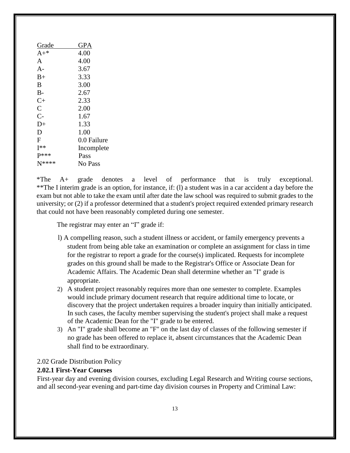| GPA         |
|-------------|
| 4.00        |
| 4.00        |
| 3.67        |
| 3.33        |
| 3.00        |
| 2.67        |
| 2.33        |
| 2.00        |
| 1.67        |
| 1.33        |
| 1.00        |
| 0.0 Failure |
| Incomplete  |
| Pass        |
| No Pass     |
|             |

\*The A+ grade denotes a level of performance that is truly exceptional. \*\*The I interim grade is an option, for instance, if: (l) a student was in a car accident a day before the exam but not able to take the exam until after date the law school was required to submit grades to the university; or (2) if a professor determined that a student's project required extended primary research that could not have been reasonably completed during one semester.

The registrar may enter an "I" grade if:

- l) A compelling reason, such a student illness or accident, or family emergency prevents a student from being able take an examination or complete an assignment for class in time for the registrar to report a grade for the course(s) implicated. Requests for incomplete grades on this ground shall be made to the Registrar's Office or Associate Dean for Academic Affairs. The Academic Dean shall determine whether an "I" grade is appropriate.
- 2) A student project reasonably requires more than one semester to complete. Examples would include primary document research that require additional time to locate, or discovery that the project undertaken requires a broader inquiry than initially anticipated. In such cases, the faculty member supervising the student's project shall make a request of the Academic Dean for the "I" grade to be entered.
- 3) An "I" grade shall become an "F" on the last day of classes of the following semester if no grade has been offered to replace it, absent circumstances that the Academic Dean shall find to be extraordinary.

#### <span id="page-12-0"></span>2.02 Grade Distribution Policy

### <span id="page-12-1"></span>**2.02.1 First-Year Courses**

First-year day and evening division courses, excluding Legal Research and Writing course sections, and all second-year evening and part-time day division courses in Property and Criminal Law: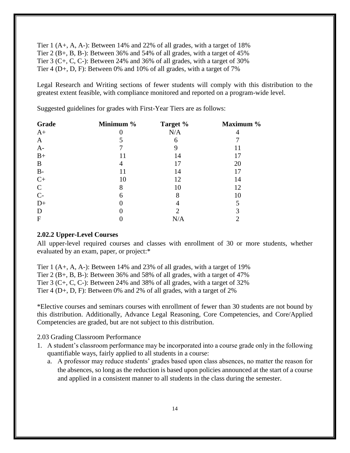Tier 1  $(A+, A, A-)$ : Between 14% and 22% of all grades, with a target of 18% Tier 2 (B+, B, B-): Between 36% and 54% of all grades, with a target of 45% Tier 3 (C+, C, C-): Between 24% and 36% of all grades, with a target of 30% Tier 4 (D+, D, F): Between 0% and 10% of all grades, with a target of 7%

Legal Research and Writing sections of fewer students will comply with this distribution to the greatest extent feasible, with compliance monitored and reported on a program-wide level.

**Grade Minimum % Target % Maximum %**   $A+$  0 N/A 4 A 5 6 7 A- 7 9 11  $B+$  11 14 17 B 4 17 20 B- 11 14 17  $C+$  10 12 14 C 8 10 12  $C-$  6 8 10  $D+$  0 4 5 D 0 2 3 F 0  $N/A$  2

Suggested guidelines for grades with First-Year Tiers are as follows:

#### <span id="page-13-0"></span>**2.02.2 Upper-Level Courses**

All upper-level required courses and classes with enrollment of 30 or more students, whether evaluated by an exam, paper, or project:\*

Tier 1 (A+, A, A-): Between 14% and 23% of all grades, with a target of 19% Tier 2 (B+, B, B-): Between 36% and 58% of all grades, with a target of 47% Tier 3 (C+, C, C-): Between 24% and 38% of all grades, with a target of 32% Tier 4 (D+, D, F): Between 0% and 2% of all grades, with a target of 2%

\*Elective courses and seminars courses with enrollment of fewer than 30 students are not bound by this distribution. Additionally, Advance Legal Reasoning, Core Competencies, and Core/Applied Competencies are graded, but are not subject to this distribution.

<span id="page-13-1"></span>2.03 Grading Classroom Performance

- 1. A student's classroom performance may be incorporated into a course grade only in the following quantifiable ways, fairly applied to all students in a course:
	- a. A professor may reduce students' grades based upon class absences, no matter the reason for the absences, so long as the reduction is based upon policies announced at the start of a course and applied in a consistent manner to all students in the class during the semester.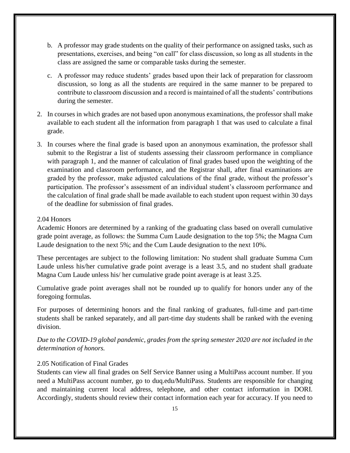- b. A professor may grade students on the quality of their performance on assigned tasks, such as presentations, exercises, and being "on call" for class discussion, so long as all students in the class are assigned the same or comparable tasks during the semester.
- c. A professor may reduce students' grades based upon their lack of preparation for classroom discussion, so long as all the students are required in the same manner to be prepared to contribute to classroom discussion and a record is maintained of all the students' contributions during the semester.
- 2. In courses in which grades are not based upon anonymous examinations, the professor shall make available to each student all the information from paragraph 1 that was used to calculate a final grade.
- 3. In courses where the final grade is based upon an anonymous examination, the professor shall submit to the Registrar a list of students assessing their classroom performance in compliance with paragraph 1, and the manner of calculation of final grades based upon the weighting of the examination and classroom performance, and the Registrar shall, after final examinations are graded by the professor, make adjusted calculations of the final grade, without the professor's participation. The professor's assessment of an individual student's classroom performance and the calculation of final grade shall be made available to each student upon request within 30 days of the deadline for submission of final grades.

#### <span id="page-14-0"></span>2.04 Honors

Academic Honors are determined by a ranking of the graduating class based on overall cumulative grade point average, as follows: the Summa Cum Laude designation to the top 5%; the Magna Cum Laude designation to the next 5%; and the Cum Laude designation to the next 10%.

These percentages are subject to the following limitation: No student shall graduate Summa Cum Laude unless his/her cumulative grade point average is a least 3.5, and no student shall graduate Magna Cum Laude unless his/ her cumulative grade point average is at least 3.25.

Cumulative grade point averages shall not be rounded up to qualify for honors under any of the foregoing formulas.

For purposes of determining honors and the final ranking of graduates, full-time and part-time students shall be ranked separately, and all part-time day students shall be ranked with the evening division.

*Due to the COVID-19 global pandemic, grades from the spring semester 2020 are not included in the determination of honors.*

### <span id="page-14-1"></span>2.05 Notification of Final Grades

Students can view all final grades on Self Service Banner using a MultiPass account number. If you need a MultiPass account number, go to duq.edu/MultiPass. Students are responsible for changing and maintaining current local address, telephone, and other contact information in DORI. Accordingly, students should review their contact information each year for accuracy. If you need to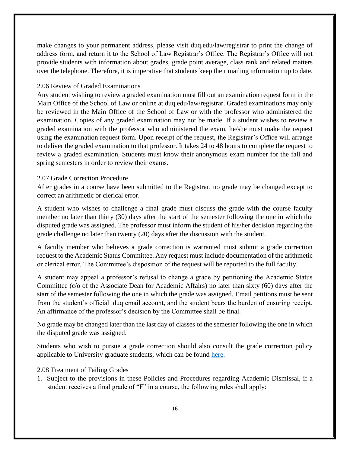make changes to your permanent address, please visit duq.edu/law/registrar to print the change of address form, and return it to the School of Law Registrar's Office. The Registrar's Office will not provide students with information about grades, grade point average, class rank and related matters over the telephone. Therefore, it is imperative that students keep their mailing information up to date.

#### <span id="page-15-0"></span>2.06 Review of Graded Examinations

Any student wishing to review a graded examination must fill out an examination request form in the Main Office of the School of Law or online at duq.edu/law/registrar. Graded examinations may only be reviewed in the Main Office of the School of Law or with the professor who administered the examination. Copies of any graded examination may not be made. If a student wishes to review a graded examination with the professor who administered the exam, he/she must make the request using the examination request form. Upon receipt of the request, the Registrar's Office will arrange to deliver the graded examination to that professor. It takes 24 to 48 hours to complete the request to review a graded examination. Students must know their anonymous exam number for the fall and spring semesters in order to review their exams.

#### <span id="page-15-1"></span>2.07 Grade Correction Procedure

After grades in a course have been submitted to the Registrar, no grade may be changed except to correct an arithmetic or clerical error.

A student who wishes to challenge a final grade must discuss the grade with the course faculty member no later than thirty (30) days after the start of the semester following the one in which the disputed grade was assigned. The professor must inform the student of his/her decision regarding the grade challenge no later than twenty (20) days after the discussion with the student.

A faculty member who believes a grade correction is warranted must submit a grade correction request to the Academic Status Committee. Any request must include documentation of the arithmetic or clerical error. The Committee's disposition of the request will be reported to the full faculty.

A student may appeal a professor's refusal to change a grade by petitioning the Academic Status Committee (c/o of the Associate Dean for Academic Affairs) no later than sixty (60) days after the start of the semester following the one in which the grade was assigned. Email petitions must be sent from the student's official .duq email account, and the student bears the burden of ensuring receipt. An affirmance of the professor's decision by the Committee shall be final.

No grade may be changed later than the last day of classes of the semester following the one in which the disputed grade was assigned.

Students who wish to pursue a grade correction should also consult the grade correction policy applicable to University graduate students, which can be found [here.](https://www.duq.edu/academics/university-catalogs/2018-2019-graduate/academic-policies/final-grade-appeal-policy)

### <span id="page-15-2"></span>2.08 Treatment of Failing Grades

1. Subject to the provisions in these Policies and Procedures regarding Academic Dismissal, if a student receives a final grade of "F" in a course, the following rules shall apply: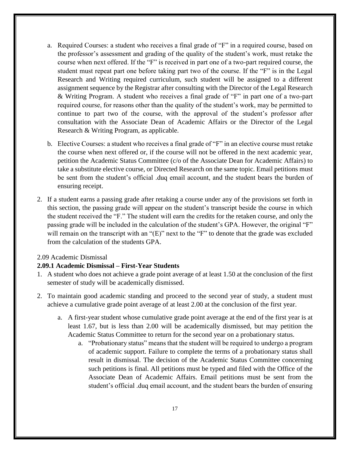- a. Required Courses: a student who receives a final grade of "F" in a required course, based on the professor's assessment and grading of the quality of the student's work, must retake the course when next offered. If the "F" is received in part one of a two-part required course, the student must repeat part one before taking part two of the course. If the "F" is in the Legal Research and Writing required curriculum, such student will be assigned to a different assignment sequence by the Registrar after consulting with the Director of the Legal Research & Writing Program. A student who receives a final grade of "F" in part one of a two-part required course, for reasons other than the quality of the student's work, may be permitted to continue to part two of the course, with the approval of the student's professor after consultation with the Associate Dean of Academic Affairs or the Director of the Legal Research & Writing Program, as applicable.
- b. Elective Courses: a student who receives a final grade of "F" in an elective course must retake the course when next offered or, if the course will not be offered in the next academic year, petition the Academic Status Committee (c/o of the Associate Dean for Academic Affairs) to take a substitute elective course, or Directed Research on the same topic. Email petitions must be sent from the student's official .duq email account, and the student bears the burden of ensuring receipt.
- 2. If a student earns a passing grade after retaking a course under any of the provisions set forth in this section, the passing grade will appear on the student's transcript beside the course in which the student received the "F." The student will earn the credits for the retaken course, and only the passing grade will be included in the calculation of the student's GPA. However, the original "F" will remain on the transcript with an "(E)" next to the "F" to denote that the grade was excluded from the calculation of the students GPA.

### <span id="page-16-0"></span>2.09 Academic Dismissal

### <span id="page-16-1"></span>**2.09.1 Academic Dismissal – First-Year Students**

- 1. A student who does not achieve a grade point average of at least 1.50 at the conclusion of the first semester of study will be academically dismissed.
- 2. To maintain good academic standing and proceed to the second year of study, a student must achieve a cumulative grade point average of at least 2.00 at the conclusion of the first year.
	- a. A first-year student whose cumulative grade point average at the end of the first year is at least 1.67, but is less than 2.00 will be academically dismissed, but may petition the Academic Status Committee to return for the second year on a probationary status.
		- a. "Probationary status" means that the student will be required to undergo a program of academic support. Failure to complete the terms of a probationary status shall result in dismissal. The decision of the Academic Status Committee concerning such petitions is final. All petitions must be typed and filed with the Office of the Associate Dean of Academic Affairs. Email petitions must be sent from the student's official .duq email account, and the student bears the burden of ensuring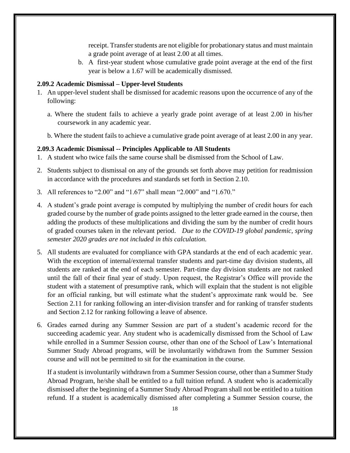receipt. Transfer students are not eligible for probationary status and must maintain a grade point average of at least 2.00 at all times.

b. A first-year student whose cumulative grade point average at the end of the first year is below a 1.67 will be academically dismissed.

#### <span id="page-17-0"></span>**2.09.2 Academic Dismissal – Upper-level Students**

- 1. An upper-level student shall be dismissed for academic reasons upon the occurrence of any of the following:
	- a. Where the student fails to achieve a yearly grade point average of at least 2.00 in his/her coursework in any academic year.
	- b. Where the student fails to achieve a cumulative grade point average of at least 2.00 in any year.

#### <span id="page-17-1"></span>**2.09.3 Academic Dismissal -- Principles Applicable to All Students**

- 1. A student who twice fails the same course shall be dismissed from the School of Law.
- 2. Students subject to dismissal on any of the grounds set forth above may petition for readmission in accordance with the procedures and standards set forth in Section 2.10.
- 3. All references to "2.00" and "1.67" shall mean "2.000" and "1.670."
- 4. A student's grade point average is computed by multiplying the number of credit hours for each graded course by the number of grade points assigned to the letter grade earned in the course, then adding the products of these multiplications and dividing the sum by the number of credit hours of graded courses taken in the relevant period. *Due to the COVID-19 global pandemic, spring semester 2020 grades are not included in this calculation.*
- 5. All students are evaluated for compliance with GPA standards at the end of each academic year. With the exception of internal/external transfer students and part-time day division students, all students are ranked at the end of each semester. Part-time day division students are not ranked until the fall of their final year of study. Upon request, the Registrar's Office will provide the student with a statement of presumptive rank, which will explain that the student is not eligible for an official ranking, but will estimate what the student's approximate rank would be. See Section 2.11 for ranking following an inter-division transfer and for ranking of transfer students and Section 2.12 for ranking following a leave of absence.
- 6. Grades earned during any Summer Session are part of a student's academic record for the succeeding academic year. Any student who is academically dismissed from the School of Law while enrolled in a Summer Session course, other than one of the School of Law's International Summer Study Abroad programs, will be involuntarily withdrawn from the Summer Session course and will not be permitted to sit for the examination in the course.

If a student is involuntarily withdrawn from a Summer Session course, other than a Summer Study Abroad Program, he/she shall be entitled to a full tuition refund. A student who is academically dismissed after the beginning of a Summer Study Abroad Program shall not be entitled to a tuition refund. If a student is academically dismissed after completing a Summer Session course, the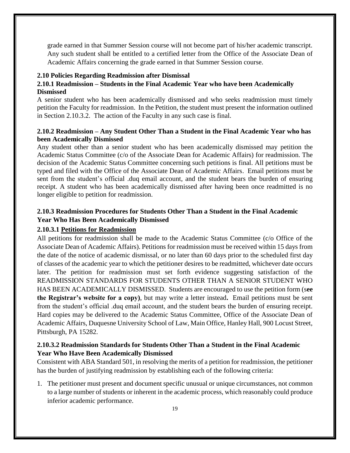grade earned in that Summer Session course will not become part of his/her academic transcript. Any such student shall be entitled to a certified letter from the Office of the Associate Dean of Academic Affairs concerning the grade earned in that Summer Session course.

#### <span id="page-18-0"></span>**2.10 Policies Regarding Readmission after Dismissal**

### <span id="page-18-1"></span>**2.10.1 Readmission – Students in the Final Academic Year who have been Academically Dismissed**

A senior student who has been academically dismissed and who seeks readmission must timely petition the Faculty for readmission. In the Petition, the student must present the information outlined in Section 2.10.3.2. The action of the Faculty in any such case is final.

### <span id="page-18-2"></span>**2.10.2 Readmission – Any Student Other Than a Student in the Final Academic Year who has been Academically Dismissed**

Any student other than a senior student who has been academically dismissed may petition the Academic Status Committee (c/o of the Associate Dean for Academic Affairs) for readmission. The decision of the Academic Status Committee concerning such petitions is final. All petitions must be typed and filed with the Office of the Associate Dean of Academic Affairs. Email petitions must be sent from the student's official .duq email account, and the student bears the burden of ensuring receipt. A student who has been academically dismissed after having been once readmitted is no longer eligible to petition for readmission.

# <span id="page-18-3"></span>**2.10.3 Readmission Procedures for Students Other Than a Student in the Final Academic Year Who Has Been Academically Dismissed**

#### <span id="page-18-4"></span>**2.10.3.1 [Petitions for Readmission](https://www.duq.edu/assets/Documents/law/registrar/Forms/Petition%20for%20Readmission%20Form.pdf)**

All petitions for readmission shall be made to the Academic Status Committee (c/o Office of the Associate Dean of Academic Affairs). Petitions for readmission must be received within 15 days from the date of the notice of academic dismissal, or no later than 60 days prior to the scheduled first day of classes of the academic year to which the petitioner desires to be readmitted, whichever date occurs later. The petition for readmission must set forth evidence suggesting satisfaction of the READMISSION STANDARDS FOR STUDENTS OTHER THAN A SENIOR STUDENT WHO HAS BEEN ACADEMICALLY DISMISSED. Students are encouraged to use the petition form (s**ee the Registrar's website for a copy)**, but may write a letter instead**.** Email petitions must be sent from the student's official .duq email account, and the student bears the burden of ensuring receipt. Hard copies may be delivered to the Academic Status Committee, Office of the Associate Dean of Academic Affairs, Duquesne University School of Law, Main Office, Hanley Hall, 900 Locust Street, Pittsburgh, PA 15282.

### <span id="page-18-5"></span>**2.10.3.2 Readmission Standards for Students Other Than a Student in the Final Academic Year Who Have Been Academically Dismissed**

Consistent with ABA Standard 501, in resolving the merits of a petition for readmission, the petitioner has the burden of justifying readmission by establishing each of the following criteria:

1. The petitioner must present and document specific unusual or unique circumstances, not common to a large number of students or inherent in the academic process, which reasonably could produce inferior academic performance.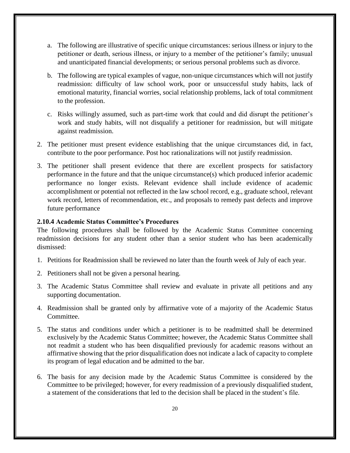- a. The following are illustrative of specific unique circumstances: serious illness or injury to the petitioner or death, serious illness, or injury to a member of the petitioner's family; unusual and unanticipated financial developments; or serious personal problems such as divorce.
- b. The following are typical examples of vague, non-unique circumstances which will not justify readmission: difficulty of law school work, poor or unsuccessful study habits, lack of emotional maturity, financial worries, social relationship problems, lack of total commitment to the profession.
- c. Risks willingly assumed, such as part-time work that could and did disrupt the petitioner's work and study habits, will not disqualify a petitioner for readmission, but will mitigate against readmission.
- 2. The petitioner must present evidence establishing that the unique circumstances did, in fact, contribute to the poor performance. Post hoc rationalizations will not justify readmission.
- 3. The petitioner shall present evidence that there are excellent prospects for satisfactory performance in the future and that the unique circumstance(s) which produced inferior academic performance no longer exists. Relevant evidence shall include evidence of academic accomplishment or potential not reflected in the law school record, e.g., graduate school, relevant work record, letters of recommendation, etc., and proposals to remedy past defects and improve future performance

### <span id="page-19-0"></span>**2.10.4 Academic Status Committee's Procedures**

The following procedures shall be followed by the Academic Status Committee concerning readmission decisions for any student other than a senior student who has been academically dismissed:

- 1. Petitions for Readmission shall be reviewed no later than the fourth week of July of each year.
- 2. Petitioners shall not be given a personal hearing.
- 3. The Academic Status Committee shall review and evaluate in private all petitions and any supporting documentation.
- 4. Readmission shall be granted only by affirmative vote of a majority of the Academic Status Committee.
- 5. The status and conditions under which a petitioner is to be readmitted shall be determined exclusively by the Academic Status Committee; however, the Academic Status Committee shall not readmit a student who has been disqualified previously for academic reasons without an affirmative showing that the prior disqualification does not indicate a lack of capacity to complete its program of legal education and be admitted to the bar.
- 6. The basis for any decision made by the Academic Status Committee is considered by the Committee to be privileged; however, for every readmission of a previously disqualified student, a statement of the considerations that led to the decision shall be placed in the student's file.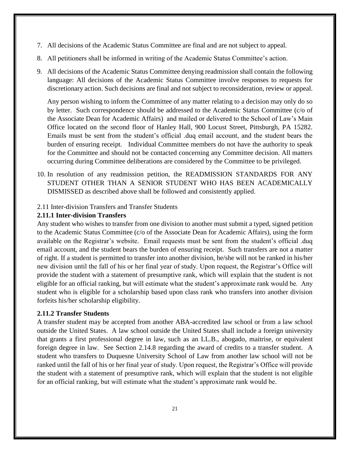- 7. All decisions of the Academic Status Committee are final and are not subject to appeal.
- 8. All petitioners shall be informed in writing of the Academic Status Committee's action.
- 9. All decisions of the Academic Status Committee denying readmission shall contain the following language: All decisions of the Academic Status Committee involve responses to requests for discretionary action. Such decisions are final and not subject to reconsideration, review or appeal.

Any person wishing to inform the Committee of any matter relating to a decision may only do so by letter. Such correspondence should be addressed to the Academic Status Committee (c/o of the Associate Dean for Academic Affairs) and mailed or delivered to the School of Law's Main Office located on the second floor of Hanley Hall, 900 Locust Street, Pittsburgh, PA 15282. Emails must be sent from the student's official .duq email account, and the student bears the burden of ensuring receipt. Individual Committee members do not have the authority to speak for the Committee and should not be contacted concerning any Committee decision. All matters occurring during Committee deliberations are considered by the Committee to be privileged.

- 10. In resolution of any readmission petition, the READMISSION STANDARDS FOR ANY STUDENT OTHER THAN A SENIOR STUDENT WHO HAS BEEN ACADEMICALLY DISMISSED as described above shall be followed and consistently applied.
- <span id="page-20-0"></span>2.11 Inter-division Transfers and Transfer Students

### <span id="page-20-1"></span>**2.11.1 [Inter-division Transfers](https://www.duq.edu/assets/Documents/law/registrar/Forms/Petition%20for%20Division%20Change%20Form.pdf)**

Any student who wishes to transfer from one division to another must submit a typed, signed petition to the Academic Status Committee (c/o of the Associate Dean for Academic Affairs), using the form available on the Registrar's website. Email requests must be sent from the student's official .duq email account, and the student bears the burden of ensuring receipt. Such transfers are not a matter of right. If a student is permitted to transfer into another division, he/she will not be ranked in his/her new division until the fall of his or her final year of study. Upon request, the Registrar's Office will provide the student with a statement of presumptive rank, which will explain that the student is not eligible for an official ranking, but will estimate what the student's approximate rank would be. Any student who is eligible for a scholarship based upon class rank who transfers into another division forfeits his/her scholarship eligibility.

### <span id="page-20-2"></span>**2.11.2 Transfer Students**

A transfer student may be accepted from another ABA-accredited law school or from a law school outside the United States. A law school outside the United States shall include a foreign university that grants a first professional degree in law, such as an LL.B., abogado, maitrise, or equivalent foreign degree in law. See Section 2.14.8 regarding the award of credits to a transfer student. A student who transfers to Duquesne University School of Law from another law school will not be ranked until the fall of his or her final year of study. Upon request, the Registrar's Office will provide the student with a statement of presumptive rank, which will explain that the student is not eligible for an official ranking, but will estimate what the student's approximate rank would be.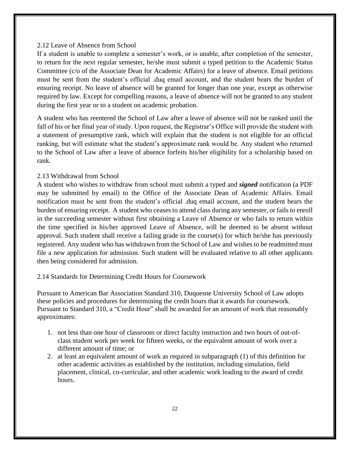#### <span id="page-21-0"></span>2.12 Leave of Absence from School

If a student is unable to complete a semester's work, or is unable, after completion of the semester, to return for the next regular semester, he/she must submit a typed petition to the Academic Status Committee (c/o of the Associate Dean for Academic Affairs) for a leave of absence. Email petitions must be sent from the student's official .duq email account, and the student bears the burden of ensuring receipt. No leave of absence will be granted for longer than one year, except as otherwise required by law. Except for compelling reasons, a leave of absence will not be granted to any student during the first year or to a student on academic probation.

A student who has reentered the School of Law after a leave of absence will not be ranked until the fall of his or her final year of study. Upon request, the Registrar's Office will provide the student with a statement of presumptive rank, which will explain that the student is not eligible for an official ranking, but will estimate what the student's approximate rank would be. Any student who returned to the School of Law after a leave of absence forfeits his/her eligibility for a scholarship based on rank.

#### <span id="page-21-1"></span>2.13 Withdrawal from School

A student who wishes to withdraw from school must submit a typed and *signed* notification (a PDF may be submitted by email) to the Office of the Associate Dean of Academic Affairs. Email notification must be sent from the student's official .duq email account, and the student bears the burden of ensuring receipt. A student who ceases to attend class during any semester, or fails to enroll in the succeeding semester without first obtaining a Leave of Absence or who fails to return within the time specified in his/her approved Leave of Absence, will be deemed to be absent without approval. Such student shall receive a failing grade in the course(s) for which he/she has previously registered. Any student who has withdrawn from the School of Law and wishes to be readmitted must file a new application for admission. Such student will be evaluated relative to all other applicants then being considered for admission.

#### <span id="page-21-2"></span>2.14 Standards for Determining Credit Hours for Coursework

Pursuant to American Bar Association Standard 310, Duquesne University School of Law adopts these policies and procedures for determining the credit hours that it awards for coursework. Pursuant to Standard 310, a "Credit Hour" shall be awarded for an amount of work that reasonably approximates:

- 1. not less than one hour of classroom or direct faculty instruction and two hours of out-ofclass student work per week for fifteen weeks, or the equivalent amount of work over a different amount of time; or
- 2. at least an equivalent amount of work as required in subparagraph (1) of this definition for other academic activities as established by the institution, including simulation, field placement, clinical, co-curricular, and other academic work leading to the award of credit hours.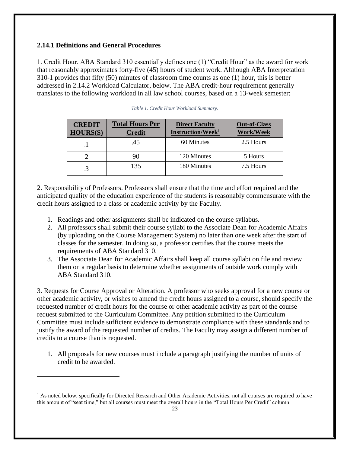# <span id="page-22-0"></span>**2.14.1 Definitions and General Procedures**

 $\overline{a}$ 

1. Credit Hour. ABA Standard 310 essentially defines one (1) "Credit Hour" as the award for work that reasonably approximates forty-five (45) hours of student work. Although ABA Interpretation 310-1 provides that fifty (50) minutes of classroom time counts as one (1) hour, this is better addressed in 2.14.2 Workload Calculator, below. The ABA credit-hour requirement generally translates to the following workload in all law school courses, based on a 13-week semester:

| <b>CREDIT</b><br><b>HOURS(S)</b> | <b>Total Hours Per</b><br><b>Credit</b> | <b>Direct Faculty</b><br>Instruction/Week <sup>1</sup> | <b>Out-of-Class</b><br><b>Work/Week</b> |
|----------------------------------|-----------------------------------------|--------------------------------------------------------|-----------------------------------------|
|                                  | 45                                      | 60 Minutes                                             | 2.5 Hours                               |
|                                  | 90                                      | 120 Minutes                                            | 5 Hours                                 |
|                                  | 135                                     | 180 Minutes                                            | 7.5 Hours                               |

|  |  | Table 1. Credit Hour Workload Summary. |
|--|--|----------------------------------------|
|  |  |                                        |

2. Responsibility of Professors. Professors shall ensure that the time and effort required and the anticipated quality of the education experience of the students is reasonably commensurate with the credit hours assigned to a class or academic activity by the Faculty.

- 1. Readings and other assignments shall be indicated on the course syllabus.
- 2. All professors shall submit their course syllabi to the Associate Dean for Academic Affairs (by uploading on the Course Management System) no later than one week after the start of classes for the semester. In doing so, a professor certifies that the course meets the requirements of ABA Standard 310.
- 3. The Associate Dean for Academic Affairs shall keep all course syllabi on file and review them on a regular basis to determine whether assignments of outside work comply with ABA Standard 310.

3. Requests for Course Approval or Alteration. A professor who seeks approval for a new course or other academic activity, or wishes to amend the credit hours assigned to a course, should specify the requested number of credit hours for the course or other academic activity as part of the course request submitted to the Curriculum Committee. Any petition submitted to the Curriculum Committee must include sufficient evidence to demonstrate compliance with these standards and to justify the award of the requested number of credits. The Faculty may assign a different number of credits to a course than is requested.

1. All proposals for new courses must include a paragraph justifying the number of units of credit to be awarded.

 $<sup>1</sup>$  As noted below, specifically for Directed Research and Other Academic Activities, not all courses are required to have</sup> this amount of "seat time," but all courses must meet the overall hours in the "Total Hours Per Credit" column.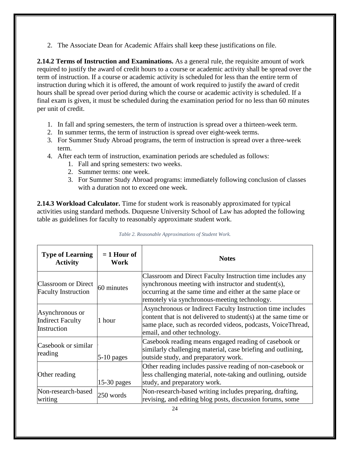2. The Associate Dean for Academic Affairs shall keep these justifications on file.

<span id="page-23-0"></span>**2.14.2 Terms of Instruction and Examinations.** As a general rule, the requisite amount of work required to justify the award of credit hours to a course or academic activity shall be spread over the term of instruction. If a course or academic activity is scheduled for less than the entire term of instruction during which it is offered, the amount of work required to justify the award of credit hours shall be spread over period during which the course or academic activity is scheduled. If a final exam is given, it must be scheduled during the examination period for no less than 60 minutes per unit of credit.

- 1. In fall and spring semesters, the term of instruction is spread over a thirteen-week term.
- 2. In summer terms, the term of instruction is spread over eight-week terms.
- 3. For Summer Study Abroad programs, the term of instruction is spread over a three-week term.
- 4. After each term of instruction, examination periods are scheduled as follows:
	- 1. Fall and spring semesters: two weeks.
	- 2. Summer terms: one week.
	- 3. For Summer Study Abroad programs: immediately following conclusion of classes with a duration not to exceed one week.

<span id="page-23-1"></span>**2.14.3 Workload Calculator.** Time for student work is reasonably approximated for typical activities using standard methods. Duquesne University School of Law has adopted the following table as guidelines for faculty to reasonably approximate student work.

| <b>Type of Learning</b><br><b>Activity</b>                | $= 1$ Hour of<br>Work | <b>Notes</b>                                                                                                                                                                                                                    |
|-----------------------------------------------------------|-----------------------|---------------------------------------------------------------------------------------------------------------------------------------------------------------------------------------------------------------------------------|
| <b>Classroom or Direct</b><br><b>Faculty Instruction</b>  | 60 minutes            | Classroom and Direct Faculty Instruction time includes any<br>synchronous meeting with instructor and student(s),<br>occurring at the same time and either at the same place or<br>remotely via synchronous-meeting technology. |
| Asynchronous or<br><b>Indirect Faculty</b><br>Instruction | 1 hour                | Asynchronous or Indirect Faculty Instruction time includes<br>content that is not delivered to student(s) at the same time or<br>same place, such as recorded videos, podcasts, VoiceThread,<br>email, and other technology.    |
| Casebook or similar<br>reading                            | $5-10$ pages          | Casebook reading means engaged reading of casebook or<br>similarly challenging material, case briefing and outlining,<br>outside study, and preparatory work.                                                                   |
| Other reading                                             | $15-30$ pages         | Other reading includes passive reading of non-casebook or<br>less challenging material, note-taking and outlining, outside<br>study, and preparatory work.                                                                      |
| Non-research-based<br>writing                             | 250 words             | Non-research-based writing includes preparing, drafting,<br>revising, and editing blog posts, discussion forums, some                                                                                                           |

| Table 2. Reasonable Approximations of Student Work. |  |  |  |
|-----------------------------------------------------|--|--|--|
|-----------------------------------------------------|--|--|--|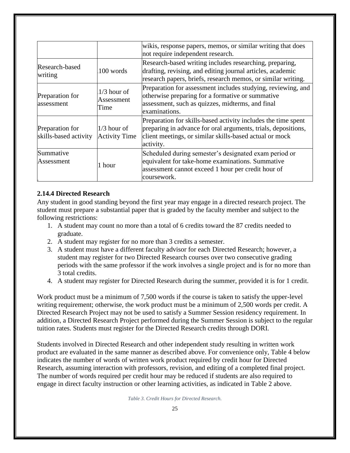|                                          |                                       | wikis, response papers, memos, or similar writing that does<br>not require independent research.                                                                                                       |
|------------------------------------------|---------------------------------------|--------------------------------------------------------------------------------------------------------------------------------------------------------------------------------------------------------|
| Research-based<br>writing                | 100 words                             | Research-based writing includes researching, preparing,<br>drafting, revising, and editing journal articles, academic<br>research papers, briefs, research memos, or similar writing.                  |
| Preparation for<br>assessment            | $1/3$ hour of<br>Assessment<br>Time   | Preparation for assessment includes studying, reviewing, and<br>otherwise preparing for a formative or summative<br>assessment, such as quizzes, midterms, and final<br>examinations.                  |
| Preparation for<br>skills-based activity | $1/3$ hour of<br><b>Activity Time</b> | Preparation for skills-based activity includes the time spent<br>preparing in advance for oral arguments, trials, depositions,<br>client meetings, or similar skills-based actual or mock<br>activity. |
| Summative<br>Assessment                  | 1 hour                                | Scheduled during semester's designated exam period or<br>equivalent for take-home examinations. Summative<br>assessment cannot exceed 1 hour per credit hour of<br>coursework.                         |

# <span id="page-24-0"></span>**2.14.4 Directed Research**

Any student in good standing beyond the first year may engage in a directed research project. The student must prepare a substantial paper that is graded by the faculty member and subject to the following restrictions:

- 1. A student may count no more than a total of 6 credits toward the 87 credits needed to graduate.
- 2. A student may register for no more than 3 credits a semester.
- 3. A student must have a different faculty advisor for each Directed Research; however, a student may register for two Directed Research courses over two consecutive grading periods with the same professor if the work involves a single project and is for no more than 3 total credits.
- 4. A student may register for Directed Research during the summer, provided it is for 1 credit.

Work product must be a minimum of 7,500 words if the course is taken to satisfy the upper-level writing requirement; otherwise, the work product must be a minimum of 2,500 words per credit. A Directed Research Project may not be used to satisfy a Summer Session residency requirement. In addition, a Directed Research Project performed during the Summer Session is subject to the regular tuition rates. Students must register for the Directed Research credits through DORI.

Students involved in Directed Research and other independent study resulting in written work product are evaluated in the same manner as described above. For convenience only, Table 4 below indicates the number of words of written work product required by credit hour for Directed Research, assuming interaction with professors, revision, and editing of a completed final project. The number of words required per credit hour may be reduced if students are also required to engage in direct faculty instruction or other learning activities, as indicated in Table 2 above.

*Table 3. Credit Hours for Directed Research.*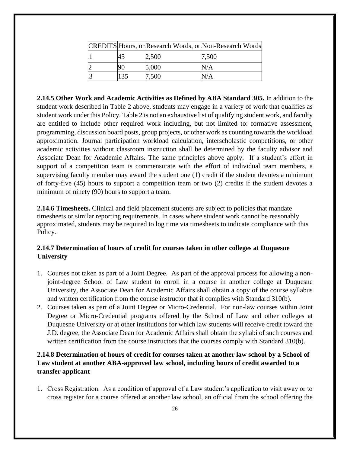|  |       | CREDITS Hours, or Research Words, or Non-Research Words |
|--|-------|---------------------------------------------------------|
|  | 2,500 | 7,500                                                   |
|  | 5,000 | N/A                                                     |
|  | 7,500 | N/A                                                     |

<span id="page-25-0"></span>**2.14.5 Other Work and Academic Activities as Defined by ABA Standard 305.** In addition to the student work described in Table 2 above, students may engage in a variety of work that qualifies as student work under this Policy. Table 2 is not an exhaustive list of qualifying student work, and faculty are entitled to include other required work including, but not limited to: formative assessment, programming, discussion board posts, group projects, or other work as counting towards the workload approximation. Journal participation workload calculation, interscholastic competitions, or other academic activities without classroom instruction shall be determined by the faculty advisor and Associate Dean for Academic Affairs. The same principles above apply. If a student's effort in support of a competition team is commensurate with the effort of individual team members, a supervising faculty member may award the student one (1) credit if the student devotes a minimum of forty-five (45) hours to support a competition team or two (2) credits if the student devotes a minimum of ninety (90) hours to support a team.

<span id="page-25-1"></span>**2.14.6 Timesheets.** Clinical and field placement students are subject to policies that mandate timesheets or similar reporting requirements. In cases where student work cannot be reasonably approximated, students may be required to log time via timesheets to indicate compliance with this Policy.

# <span id="page-25-2"></span>**2.14.7 Determination of hours of credit for courses taken in other colleges at Duquesne University**

- 1. Courses not taken as part of a Joint Degree. As part of the approval process for allowing a nonjoint-degree School of Law student to enroll in a course in another college at Duquesne University, the Associate Dean for Academic Affairs shall obtain a copy of the course syllabus and written certification from the course instructor that it complies with Standard 310(b).
- 2. Courses taken as part of a Joint Degree or Micro-Credential. For non-law courses within Joint Degree or Micro-Credential programs offered by the School of Law and other colleges at Duquesne University or at other institutions for which law students will receive credit toward the J.D. degree, the Associate Dean for Academic Affairs shall obtain the syllabi of such courses and written certification from the course instructors that the courses comply with Standard 310(b).

# <span id="page-25-3"></span>**2.14.8 Determination of hours of credit for courses taken at another law school by a School of Law student at another ABA-approved law school, including hours of credit awarded to a transfer applicant**

1. Cross Registration. As a condition of approval of a Law student's application to visit away or to cross register for a course offered at another law school, an official from the school offering the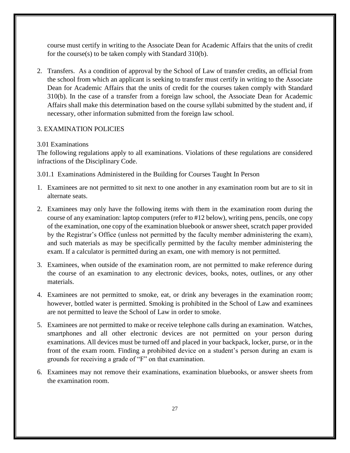course must certify in writing to the Associate Dean for Academic Affairs that the units of credit for the course(s) to be taken comply with Standard 310(b).

2. Transfers. As a condition of approval by the School of Law of transfer credits, an official from the school from which an applicant is seeking to transfer must certify in writing to the Associate Dean for Academic Affairs that the units of credit for the courses taken comply with Standard 310(b). In the case of a transfer from a foreign law school, the Associate Dean for Academic Affairs shall make this determination based on the course syllabi submitted by the student and, if necessary, other information submitted from the foreign law school.

### <span id="page-26-1"></span><span id="page-26-0"></span>3. EXAMINATION POLICIES

#### 3.01 Examinations

The following regulations apply to all examinations. Violations of these regulations are considered infractions of the Disciplinary Code.

3.01.1 Examinations Administered in the Building for Courses Taught In Person

- 1. Examinees are not permitted to sit next to one another in any examination room but are to sit in alternate seats.
- 2. Examinees may only have the following items with them in the examination room during the course of any examination: laptop computers (refer to #12 below), writing pens, pencils, one copy of the examination, one copy of the examination bluebook or answer sheet, scratch paper provided by the Registrar's Office (unless not permitted by the faculty member administering the exam), and such materials as may be specifically permitted by the faculty member administering the exam. If a calculator is permitted during an exam, one with memory is not permitted.
- 3. Examinees, when outside of the examination room, are not permitted to make reference during the course of an examination to any electronic devices, books, notes, outlines, or any other materials.
- 4. Examinees are not permitted to smoke, eat, or drink any beverages in the examination room; however, bottled water is permitted. Smoking is prohibited in the School of Law and examinees are not permitted to leave the School of Law in order to smoke.
- 5. Examinees are not permitted to make or receive telephone calls during an examination. Watches, smartphones and all other electronic devices are not permitted on your person during examinations. All devices must be turned off and placed in your backpack, locker, purse, or in the front of the exam room. Finding a prohibited device on a student's person during an exam is grounds for receiving a grade of "F" on that examination.
- 6. Examinees may not remove their examinations, examination bluebooks, or answer sheets from the examination room.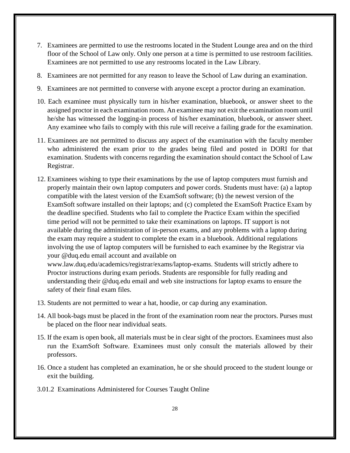- 7. Examinees are permitted to use the restrooms located in the Student Lounge area and on the third floor of the School of Law only. Only one person at a time is permitted to use restroom facilities. Examinees are not permitted to use any restrooms located in the Law Library.
- 8. Examinees are not permitted for any reason to leave the School of Law during an examination.
- 9. Examinees are not permitted to converse with anyone except a proctor during an examination.
- 10. Each examinee must physically turn in his/her examination, bluebook, or answer sheet to the assigned proctor in each examination room. An examinee may not exit the examination room until he/she has witnessed the logging-in process of his/her examination, bluebook, or answer sheet. Any examinee who fails to comply with this rule will receive a failing grade for the examination.
- 11. Examinees are not permitted to discuss any aspect of the examination with the faculty member who administered the exam prior to the grades being filed and posted in DORI for that examination. Students with concerns regarding the examination should contact the School of Law Registrar.
- 12. Examinees wishing to type their examinations by the use of laptop computers must furnish and properly maintain their own laptop computers and power cords. Students must have: (a) a laptop compatible with the latest version of the ExamSoft software; (b) the newest version of the ExamSoft software installed on their laptops; and (c) completed the ExamSoft Practice Exam by the deadline specified. Students who fail to complete the Practice Exam within the specified time period will not be permitted to take their examinations on laptops. IT support is not available during the administration of in-person exams, and any problems with a laptop during the exam may require a student to complete the exam in a bluebook. Additional regulations involving the use of laptop computers will be furnished to each examinee by the Registrar via your @duq.edu email account and available on

www.law.duq.edu/academics/registrar/exams/laptop-exams. Students will strictly adhere to Proctor instructions during exam periods. Students are responsible for fully reading and understanding their @duq.edu email and web site instructions for laptop exams to ensure the safety of their final exam files.

- 13. Students are not permitted to wear a hat, hoodie, or cap during any examination.
- 14. All book-bags must be placed in the front of the examination room near the proctors. Purses must be placed on the floor near individual seats.
- 15. If the exam is open book, all materials must be in clear sight of the proctors. Examinees must also run the ExamSoft Software. Examinees must only consult the materials allowed by their professors.
- 16. Once a student has completed an examination, he or she should proceed to the student lounge or exit the building.
- 3.01.2 Examinations Administered for Courses Taught Online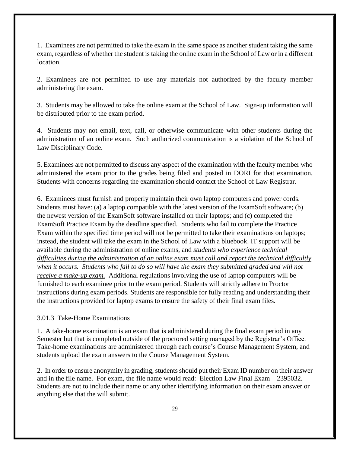1. Examinees are not permitted to take the exam in the same space as another student taking the same exam, regardless of whether the student is taking the online exam in the School of Law or in a different location.

2. Examinees are not permitted to use any materials not authorized by the faculty member administering the exam.

3. Students may be allowed to take the online exam at the School of Law. Sign-up information will be distributed prior to the exam period.

4. Students may not email, text, call, or otherwise communicate with other students during the administration of an online exam. Such authorized communication is a violation of the School of Law Disciplinary Code.

5. Examinees are not permitted to discuss any aspect of the examination with the faculty member who administered the exam prior to the grades being filed and posted in DORI for that examination. Students with concerns regarding the examination should contact the School of Law Registrar.

6. Examinees must furnish and properly maintain their own laptop computers and power cords. Students must have: (a) a laptop compatible with the latest version of the ExamSoft software; (b) the newest version of the ExamSoft software installed on their laptops; and (c) completed the ExamSoft Practice Exam by the deadline specified. Students who fail to complete the Practice Exam within the specified time period will not be permitted to take their examinations on laptops; instead, the student will take the exam in the School of Law with a bluebook. IT support will be available during the administration of online exams, and *students who experience technical difficulties during the administration of an online exam must call and report the technical difficultly when it occurs. Students who fail to do so will have the exam they submitted graded and will not receive a make-up exam.* Additional regulations involving the use of laptop computers will be furnished to each examinee prior to the exam period. Students will strictly adhere to Proctor instructions during exam periods. Students are responsible for fully reading and understanding their the instructions provided for laptop exams to ensure the safety of their final exam files.

#### 3.01.3 Take-Home Examinations

1. A take-home examination is an exam that is administered during the final exam period in any Semester but that is completed outside of the proctored setting managed by the Registrar's Office. Take-home examinations are administered through each course's Course Management System, and students upload the exam answers to the Course Management System.

2. In order to ensure anonymity in grading, students should put their Exam ID number on their answer and in the file name. For exam, the file name would read: Election Law Final Exam – 2395032. Students are not to include their name or any other identifying information on their exam answer or anything else that the will submit.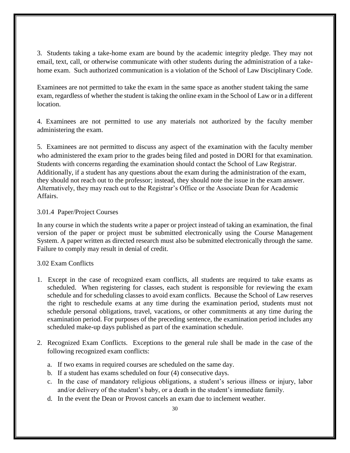3. Students taking a take-home exam are bound by the academic integrity pledge. They may not email, text, call, or otherwise communicate with other students during the administration of a takehome exam. Such authorized communication is a violation of the School of Law Disciplinary Code.

Examinees are not permitted to take the exam in the same space as another student taking the same exam, regardless of whether the student is taking the online exam in the School of Law or in a different location.

4. Examinees are not permitted to use any materials not authorized by the faculty member administering the exam.

5. Examinees are not permitted to discuss any aspect of the examination with the faculty member who administered the exam prior to the grades being filed and posted in DORI for that examination. Students with concerns regarding the examination should contact the School of Law Registrar. Additionally, if a student has any questions about the exam during the administration of the exam, they should not reach out to the professor; instead, they should note the issue in the exam answer. Alternatively, they may reach out to the Registrar's Office or the Associate Dean for Academic Affairs.

### 3.01.4 Paper/Project Courses

In any course in which the students write a paper or project instead of taking an examination, the final version of the paper or project must be submitted electronically using the Course Management System. A paper written as directed research must also be submitted electronically through the same. Failure to comply may result in denial of credit.

### <span id="page-29-0"></span>3.02 [Exam Conflicts](https://www.duq.edu/academics/schools/law/academics/registrar/forms/exam-conflict-request)

- 1. Except in the case of recognized exam conflicts, all students are required to take exams as scheduled. When registering for classes, each student is responsible for reviewing the exam schedule and for scheduling classes to avoid exam conflicts. Because the School of Law reserves the right to reschedule exams at any time during the examination period, students must not schedule personal obligations, travel, vacations, or other commitments at any time during the examination period. For purposes of the preceding sentence, the examination period includes any scheduled make-up days published as part of the examination schedule.
- 2. Recognized Exam Conflicts. Exceptions to the general rule shall be made in the case of the following recognized exam conflicts:
	- a. If two exams in required courses are scheduled on the same day.
	- b. If a student has exams scheduled on four (4) consecutive days.
	- c. In the case of mandatory religious obligations, a student's serious illness or injury, labor and/or delivery of the student's baby, or a death in the student's immediate family.
	- d. In the event the Dean or Provost cancels an exam due to inclement weather.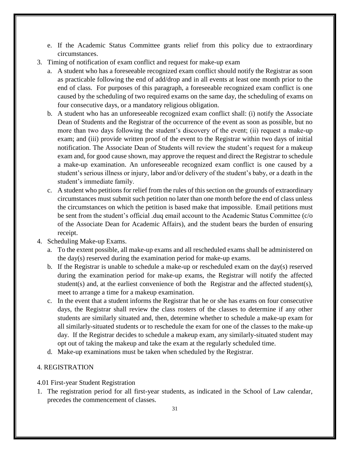- e. If the Academic Status Committee grants relief from this policy due to extraordinary circumstances.
- 3. Timing of notification of exam conflict and request for make-up exam
	- a. A student who has a foreseeable recognized exam conflict should notify the Registrar as soon as practicable following the end of add/drop and in all events at least one month prior to the end of class. For purposes of this paragraph, a foreseeable recognized exam conflict is one caused by the scheduling of two required exams on the same day, the scheduling of exams on four consecutive days, or a mandatory religious obligation.
	- b. A student who has an unforeseeable recognized exam conflict shall: (i) notify the Associate Dean of Students and the Registrar of the occurrence of the event as soon as possible, but no more than two days following the student's discovery of the event; (ii) request a make-up exam; and (iii) provide written proof of the event to the Registrar within two days of initial notification. The Associate Dean of Students will review the student's request for a makeup exam and, for good cause shown, may approve the request and direct the Registrar to schedule a make-up examination. An unforeseeable recognized exam conflict is one caused by a student's serious illness or injury, labor and/or delivery of the student's baby, or a death in the student's immediate family.
	- c. A student who petitions for relief from the rules of this section on the grounds of extraordinary circumstances must submit such petition no later than one month before the end of class unless the circumstances on which the petition is based make that impossible. Email petitions must be sent from the student's official .duq email account to the Academic Status Committee (c/o of the Associate Dean for Academic Affairs), and the student bears the burden of ensuring receipt.
- 4. Scheduling Make-up Exams.
	- a. To the extent possible, all make-up exams and all rescheduled exams shall be administered on the day(s) reserved during the examination period for make-up exams.
	- b. If the Registrar is unable to schedule a make-up or rescheduled exam on the day(s) reserved during the examination period for make-up exams, the Registrar will notify the affected student(s) and, at the earliest convenience of both the Registrar and the affected student(s), meet to arrange a time for a makeup examination.
	- c. In the event that a student informs the Registrar that he or she has exams on four consecutive days, the Registrar shall review the class rosters of the classes to determine if any other students are similarly situated and, then, determine whether to schedule a make-up exam for all similarly-situated students or to reschedule the exam for one of the classes to the make-up day. If the Registrar decides to schedule a makeup exam, any similarly-situated student may opt out of taking the makeup and take the exam at the regularly scheduled time.
	- d. Make-up examinations must be taken when scheduled by the Registrar.

### <span id="page-30-1"></span><span id="page-30-0"></span>4. REGISTRATION

- 4.01 First-year Student Registration
- 1. The registration period for all first-year students, as indicated in the School of Law calendar, precedes the commencement of classes.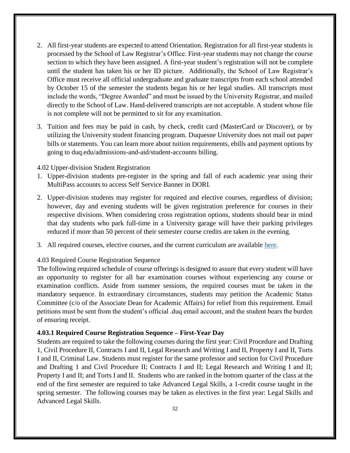- 2. All first-year students are expected to attend Orientation. Registration for all first-year students is processed by the School of Law Registrar's Office. First-year students may not change the course section to which they have been assigned. A first-year student's registration will not be complete until the student has taken his or her ID picture. Additionally, the School of Law Registrar's Office must receive all official undergraduate and graduate transcripts from each school attended by October 15 of the semester the students began his or her legal studies. All transcripts must include the words, "Degree Awarded" and must be issued by the University Registrar, and mailed directly to the School of Law. Hand-delivered transcripts are not acceptable. A student whose file is not complete will not be permitted to sit for any examination.
- 3. Tuition and fees may be paid in cash, by check, credit card (MasterCard or Discover), or by utilizing the University student financing program. Duquesne University does not mail out paper bills or statements. You can learn more about tuition requirements, ebills and payment options by going to duq.edu/admissions-and-aid/student-accounts billing.

### <span id="page-31-0"></span>4.02 Upper-division Student Registration

- 1. Upper-division students pre-register in the spring and fall of each academic year using their MultiPass accounts to access Self Service Banner in DORI.
- 2. Upper-division students may register for required and elective courses, regardless of division; however, day and evening students will be given registration preference for courses in their respective divisions. When considering cross registration options, students should bear in mind that day students who park full-time in a University garage will have their parking privileges reduced if more than 50 percent of their semester course credits are taken in the evening.
- 3. All required courses, elective courses, and the current curriculum are available [here.](https://www.duq.edu/academics/schools/law/academics/registrar/curriculum)

# <span id="page-31-1"></span>4.03 Required Course Registration Sequence

The following required schedule of course offerings is designed to assure that every student will have an opportunity to register for all bar examination courses without experiencing any course or examination conflicts. Aside from summer sessions, the required courses must be taken in the mandatory sequence. In extraordinary circumstances, students may petition the Academic Status Committee (c/o of the Associate Dean for Academic Affairs) for relief from this requirement. Email petitions must be sent from the student's official .duq email account, and the student bears the burden of ensuring receipt.

# <span id="page-31-2"></span>**4.03.1 Required Course Registration Sequence – First-Year Day**

Students are required to take the following courses during the first year: Civil Procedure and Drafting 1, Civil Procedure II, Contracts I and II, Legal Research and Writing I and II, Property I and II, Torts I and II, Criminal Law. Students must register for the same professor and section for Civil Procedure and Drafting 1 and Civil Procedure II; Contracts I and II; Legal Research and Writing I and II; Property I and II; and Torts I and II. Students who are ranked in the bottom quarter of the class at the end of the first semester are required to take Advanced Legal Skills, a 1-credit course taught in the spring semester. The following courses may be taken as electives in the first year: Legal Skills and Advanced Legal Skills.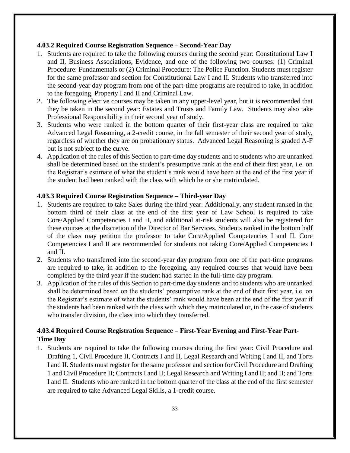### <span id="page-32-0"></span>**4.03.2 Required Course Registration Sequence – Second-Year Day**

- 1. Students are required to take the following courses during the second year: Constitutional Law I and II, Business Associations, Evidence, and one of the following two courses: (1) Criminal Procedure: Fundamentals or (2) Criminal Procedure: The Police Function. Students must register for the same professor and section for Constitutional Law I and II. Students who transferred into the second-year day program from one of the part-time programs are required to take, in addition to the foregoing, Property I and II and Criminal Law.
- 2. The following elective courses may be taken in any upper-level year, but it is recommended that they be taken in the second year: Estates and Trusts and Family Law. Students may also take Professional Responsibility in their second year of study.
- 3. Students who were ranked in the bottom quarter of their first-year class are required to take Advanced Legal Reasoning, a 2-credit course, in the fall semester of their second year of study, regardless of whether they are on probationary status. Advanced Legal Reasoning is graded A-F but is not subject to the curve.
- 4. Application of the rules of this Section to part-time day students and to students who are unranked shall be determined based on the student's presumptive rank at the end of their first year, i.e. on the Registrar's estimate of what the student's rank would have been at the end of the first year if the student had been ranked with the class with which he or she matriculated.

# <span id="page-32-1"></span>**4.03.3 Required Course Registration Sequence – Third-year Day**

- 1. Students are required to take Sales during the third year. Additionally, any student ranked in the bottom third of their class at the end of the first year of Law School is required to take Core/Applied Competencies I and II, and additional at-risk students will also be registered for these courses at the discretion of the Director of Bar Services. Students ranked in the bottom half of the class may petition the professor to take Core/Applied Competencies I and II. Core Competencies I and II are recommended for students not taking Core/Applied Competencies I and II.
- 2. Students who transferred into the second-year day program from one of the part-time programs are required to take, in addition to the foregoing, any required courses that would have been completed by the third year if the student had started in the full-time day program.
- 3. Application of the rules of this Section to part-time day students and to students who are unranked shall be determined based on the students' presumptive rank at the end of their first year, i.e. on the Registrar's estimate of what the students' rank would have been at the end of the first year if the students had been ranked with the class with which they matriculated or, in the case of students who transfer division, the class into which they transferred.

# <span id="page-32-2"></span>**4.03.4 Required Course Registration Sequence – First-Year Evening and First-Year Part-Time Day**

1. Students are required to take the following courses during the first year: Civil Procedure and Drafting 1, Civil Procedure II, Contracts I and II, Legal Research and Writing I and II, and Torts I and II. Students must register for the same professor and section for Civil Procedure and Drafting 1 and Civil Procedure II; Contracts I and II; Legal Research and Writing I and II; and II; and Torts I and II. Students who are ranked in the bottom quarter of the class at the end of the first semester are required to take Advanced Legal Skills, a 1-credit course.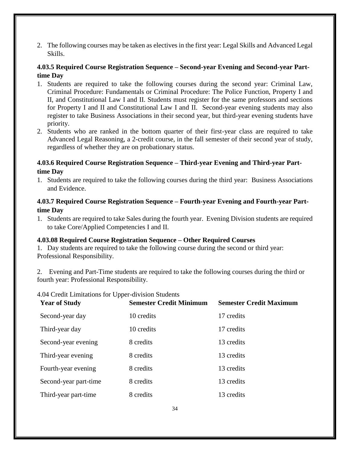2. The following courses may be taken as electives in the first year: Legal Skills and Advanced Legal Skills.

# <span id="page-33-0"></span>**4.03.5 Required Course Registration Sequence – Second-year Evening and Second-year Parttime Day**

- 1. Students are required to take the following courses during the second year: Criminal Law, Criminal Procedure: Fundamentals or Criminal Procedure: The Police Function, Property I and II, and Constitutional Law I and II. Students must register for the same professors and sections for Property I and II and Constitutional Law I and II. Second-year evening students may also register to take Business Associations in their second year, but third-year evening students have priority.
- 2. Students who are ranked in the bottom quarter of their first-year class are required to take Advanced Legal Reasoning, a 2-credit course, in the fall semester of their second year of study, regardless of whether they are on probationary status.

# <span id="page-33-1"></span>**4.03.6 Required Course Registration Sequence – Third-year Evening and Third-year Parttime Day**

1. Students are required to take the following courses during the third year: Business Associations and Evidence.

# <span id="page-33-2"></span>**4.03.7 Required Course Registration Sequence – Fourth-year Evening and Fourth-year Parttime Day**

1. Students are required to take Sales during the fourth year. Evening Division students are required to take Core/Applied Competencies I and II.

# **4.03.08 Required Course Registration Sequence – Other Required Courses**

1. Day students are required to take the following course during the second or third year: Professional Responsibility.

2. Evening and Part-Time students are required to take the following courses during the third or fourth year: Professional Responsibility.

### <span id="page-33-3"></span>4.04 Credit Limitations for Upper-division Students

| <b>Year of Study</b>  | <b>Semester Credit Minimum</b> | <b>Semester Credit Maximum</b> |
|-----------------------|--------------------------------|--------------------------------|
| Second-year day       | 10 credits                     | 17 credits                     |
| Third-year day        | 10 credits                     | 17 credits                     |
| Second-year evening   | 8 credits                      | 13 credits                     |
| Third-year evening    | 8 credits                      | 13 credits                     |
| Fourth-year evening   | 8 credits                      | 13 credits                     |
| Second-year part-time | 8 credits                      | 13 credits                     |
| Third-year part-time  | 8 credits                      | 13 credits                     |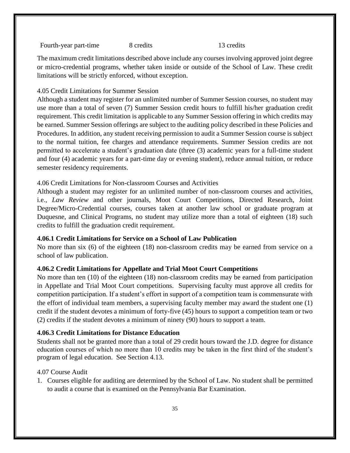Fourth-year part-time 8 credits 13 credits

The maximum credit limitations described above include any courses involving approved joint degree or micro-credential programs, whether taken inside or outside of the School of Law. These credit limitations will be strictly enforced, without exception.

#### <span id="page-34-0"></span>4.05 Credit Limitations for Summer Session

Although a student may register for an unlimited number of Summer Session courses, no student may use more than a total of seven (7) Summer Session credit hours to fulfill his/her graduation credit requirement. This credit limitation is applicable to any Summer Session offering in which credits may be earned. Summer Session offerings are subject to the auditing policy described in these Policies and Procedures. In addition, any student receiving permission to audit a Summer Session course is subject to the normal tuition, fee charges and attendance requirements. Summer Session credits are not permitted to accelerate a student's graduation date (three (3) academic years for a full-time student and four (4) academic years for a part-time day or evening student), reduce annual tuition, or reduce semester residency requirements.

### <span id="page-34-1"></span>4.06 Credit Limitations for Non-classroom Courses and Activities

Although a student may register for an unlimited number of non-classroom courses and activities, i.e., *Law Review* and other journals, Moot Court Competitions, Directed Research, Joint Degree/Micro-Credential courses, courses taken at another law school or graduate program at Duquesne, and Clinical Programs, no student may utilize more than a total of eighteen (18) such credits to fulfill the graduation credit requirement.

### <span id="page-34-2"></span>**4.06.1 Credit Limitations for Service on a School of Law Publication**

No more than six (6) of the eighteen (18) non-classroom credits may be earned from service on a school of law publication.

# <span id="page-34-3"></span>**4.06.2 Credit Limitations for Appellate and Trial Moot Court Competitions**

No more than ten (10) of the eighteen (18) non-classroom credits may be earned from participation in Appellate and Trial Moot Court competitions. Supervising faculty must approve all credits for competition participation. If a student's effort in support of a competition team is commensurate with the effort of individual team members, a supervising faculty member may award the student one (1) credit if the student devotes a minimum of forty-five (45) hours to support a competition team or two (2) credits if the student devotes a minimum of ninety (90) hours to support a team.

### <span id="page-34-4"></span>**4.06.3 Credit Limitations for Distance Education**

Students shall not be granted more than a total of 29 credit hours toward the J.D. degree for distance education courses of which no more than 10 credits may be taken in the first third of the student's program of legal education. See Section 4.13.

### <span id="page-34-5"></span>4.07 Course Audit

1. Courses eligible for auditing are determined by the School of Law. No student shall be permitted to audit a course that is examined on the Pennsylvania Bar Examination.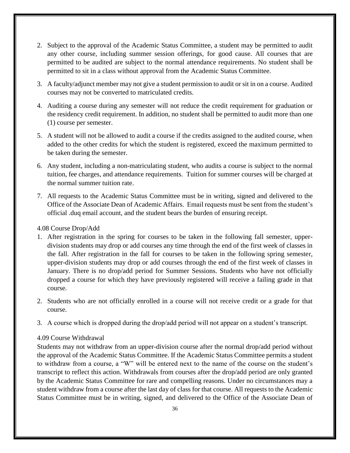- 2. Subject to the approval of the Academic Status Committee, a student may be permitted to audit any other course, including summer session offerings, for good cause. All courses that are permitted to be audited are subject to the normal attendance requirements. No student shall be permitted to sit in a class without approval from the Academic Status Committee.
- 3. A faculty/adjunct member may not give a student permission to audit or sit in on a course. Audited courses may not be converted to matriculated credits.
- 4. Auditing a course during any semester will not reduce the credit requirement for graduation or the residency credit requirement. In addition, no student shall be permitted to audit more than one (1) course per semester.
- 5. A student will not be allowed to audit a course if the credits assigned to the audited course, when added to the other credits for which the student is registered, exceed the maximum permitted to be taken during the semester.
- 6. Any student, including a non-matriculating student, who audits a course is subject to the normal tuition, fee charges, and attendance requirements. Tuition for summer courses will be charged at the normal summer tuition rate.
- 7. All requests to the Academic Status Committee must be in writing, signed and delivered to the Office of the Associate Dean of Academic Affairs. Email requests must be sent from the student's official .duq email account, and the student bears the burden of ensuring receipt.

### <span id="page-35-0"></span>4.08 Course Drop/Add

- 1. After registration in the spring for courses to be taken in the following fall semester, upperdivision students may drop or add courses any time through the end of the first week of classes in the fall. After registration in the fall for courses to be taken in the following spring semester, upper-division students may drop or add courses through the end of the first week of classes in January. There is no drop/add period for Summer Sessions. Students who have not officially dropped a course for which they have previously registered will receive a failing grade in that course.
- 2. Students who are not officially enrolled in a course will not receive credit or a grade for that course.
- 3. A course which is dropped during the drop/add period will not appear on a student's transcript.

### <span id="page-35-1"></span>4.09 Course Withdrawal

Students may not withdraw from an upper-division course after the normal drop/add period without the approval of the Academic Status Committee. If the Academic Status Committee permits a student to withdraw from a course, a "W" will be entered next to the name of the course on the student's transcript to reflect this action. Withdrawals from courses after the drop/add period are only granted by the Academic Status Committee for rare and compelling reasons. Under no circumstances may a student withdraw from a course after the last day of class for that course. All requests to the Academic Status Committee must be in writing, signed, and delivered to the Office of the Associate Dean of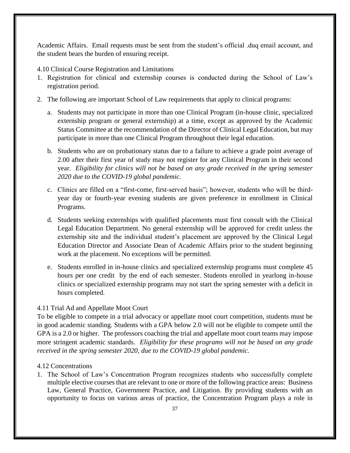Academic Affairs. Email requests must be sent from the student's official .duq email account, and the student bears the burden of ensuring receipt.

- <span id="page-36-0"></span>4.10 Clinical Course Registration and Limitations
- 1. Registration for clinical and externship courses is conducted during the School of Law's registration period.
- 2. The following are important School of Law requirements that apply to clinical programs:
	- a. Students may not participate in more than one Clinical Program (in-house clinic, specialized externship program or general externship) at a time, except as approved by the Academic Status Committee at the recommendation of the Director of Clinical Legal Education, but may participate in more than one Clinical Program throughout their legal education.
	- b. Students who are on probationary status due to a failure to achieve a grade point average of 2.00 after their first year of study may not register for any Clinical Program in their second year. *Eligibility for clinics will not be based on any grade received in the spring semester 2020 due to the COVID-19 global pandemic.*
	- c. Clinics are filled on a "first-come, first-served basis"; however, students who will be thirdyear day or fourth-year evening students are given preference in enrollment in Clinical Programs.
	- d. Students seeking externships with qualified placements must first consult with the Clinical Legal Education Department. No general externship will be approved for credit unless the externship site and the individual student's placement are approved by the Clinical Legal Education Director and Associate Dean of Academic Affairs prior to the student beginning work at the placement. No exceptions will be permitted.
	- e. Students enrolled in in-house clinics and specialized externship programs must complete 45 hours per one credit by the end of each semester. Students enrolled in yearlong in-house clinics or specialized externship programs may not start the spring semester with a deficit in hours completed.

#### <span id="page-36-1"></span>4.11 Trial Ad and Appellate Moot Court

To be eligible to compete in a trial advocacy or appellate moot court competition, students must be in good academic standing. Students with a GPA below 2.0 will not be eligible to compete until the GPA is a 2.0 or higher. The professors coaching the trial and appellate moot court teams may impose more stringent academic standards. *Eligibility for these programs will not be based on any grade received in the spring semester 2020, due to the COVID-19 global pandemic.*

#### <span id="page-36-2"></span>4.12 Concentrations

1. The School of Law's Concentration Program recognizes students who successfully complete multiple elective courses that are relevant to one or more of the following practice areas: Business Law, General Practice, Government Practice, and Litigation. By providing students with an opportunity to focus on various areas of practice, the Concentration Program plays a role in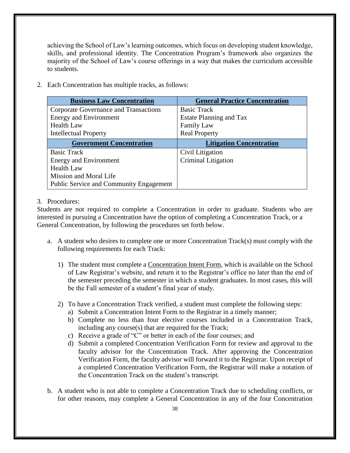achieving the School of Law's learning outcomes, which focus on developing student knowledge, skills, and professional identity. The Concentration Program's framework also organizes the majority of the School of Law's course offerings in a way that makes the curriculum accessible to students.

2. Each Concentration has multiple tracks, as follows:

| <b>Business Law Concentration</b>              | <b>General Practice Concentration</b> |
|------------------------------------------------|---------------------------------------|
| Corporate Governance and Transactions          | <b>Basic Track</b>                    |
| <b>Energy and Environment</b>                  | Estate Planning and Tax               |
| <b>Health Law</b>                              | Family Law                            |
| <b>Intellectual Property</b>                   | <b>Real Property</b>                  |
| <b>Government Concentration</b>                | <b>Litigation Concentration</b>       |
| <b>Basic Track</b>                             | Civil Litigation                      |
| <b>Energy and Environment</b>                  | <b>Criminal Litigation</b>            |
| <b>Health Law</b>                              |                                       |
| Mission and Moral Life                         |                                       |
| <b>Public Service and Community Engagement</b> |                                       |

### 3. Procedures:

Students are not required to complete a Concentration in order to graduate. Students who are interested in pursuing a Concentration have the option of completing a Concentration Track, or a General Concentration, by following the procedures set forth below.

- a. A student who desires to complete one or more Concentration Track(s) must comply with the following requirements for each Track:
	- 1) The student must complete a [Concentration Intent Form,](https://www.duq.edu/academics/schools/law/academics/registrar/forms/concentration-student-intent) which is available on the School of Law Registrar's website, and return it to the Registrar's office no later than the end of the semester preceding the semester in which a student graduates. In most cases, this will be the Fall semester of a student's final year of study.
	- 2) To have a Concentration Track verified, a student must complete the following steps:
		- a) Submit a Concentration Intent Form to the Registrar in a timely manner;
		- b) Complete no less than four elective courses included in a Concentration Track, including any course(s) that are required for the Track;
		- c) Receive a grade of "C" or better in each of the four courses; and
		- d) Submit a completed Concentration Verification Form for review and approval to the faculty advisor for the Concentration Track. After approving the Concentration Verification Form, the faculty advisor will forward it to the Registrar. Upon receipt of a completed Concentration Verification Form, the Registrar will make a notation of the Concentration Track on the student's transcript.
- b. A student who is not able to complete a Concentration Track due to scheduling conflicts, or for other reasons, may complete a General Concentration in any of the four Concentration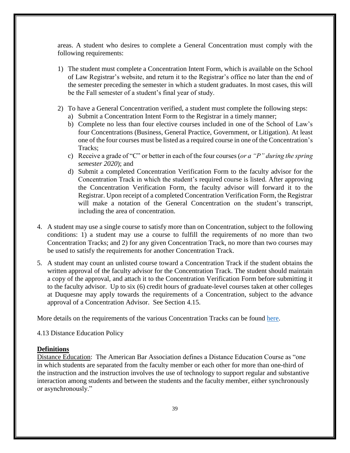areas. A student who desires to complete a General Concentration must comply with the following requirements:

- 1) The student must complete a Concentration Intent Form, which is available on the School of Law Registrar's website, and return it to the Registrar's office no later than the end of the semester preceding the semester in which a student graduates. In most cases, this will be the Fall semester of a student's final year of study.
- 2) To have a General Concentration verified, a student must complete the following steps:
	- a) Submit a Concentration Intent Form to the Registrar in a timely manner;
	- b) Complete no less than four elective courses included in one of the School of Law's four Concentrations (Business, General Practice, Government, or Litigation). At least one of the four courses must be listed as a required course in one of the Concentration's Tracks;
	- c) Receive a grade of "C" or better in each of the four courses (*or a "P" during the spring semester 2020*); and
	- d) Submit a completed Concentration Verification Form to the faculty advisor for the Concentration Track in which the student's required course is listed. After approving the Concentration Verification Form, the faculty advisor will forward it to the Registrar. Upon receipt of a completed Concentration Verification Form, the Registrar will make a notation of the General Concentration on the student's transcript, including the area of concentration.
- 4. A student may use a single course to satisfy more than on Concentration, subject to the following conditions: 1) a student may use a course to fulfill the requirements of no more than two Concentration Tracks; and 2) for any given Concentration Track, no more than two courses may be used to satisfy the requirements for another Concentration Track.
- 5. A student may count an unlisted course toward a Concentration Track if the student obtains the written approval of the faculty advisor for the Concentration Track. The student should maintain a copy of the approval, and attach it to the Concentration Verification Form before submitting it to the faculty advisor. Up to six (6) credit hours of graduate-level courses taken at other colleges at Duquesne may apply towards the requirements of a Concentration, subject to the advance approval of a Concentration Advisor. See Section 4.15.

<span id="page-38-0"></span>More details on the requirements of the various Concentration Tracks can be found [here.](https://www.duq.edu/academics/schools/law/academics/registrar/curriculum/concentrations)

4.13 Distance Education Policy

#### **Definitions**

Distance Education: The American Bar Association defines a Distance Education Course as "one in which students are separated from the faculty member or each other for more than one-third of the instruction and the instruction involves the use of technology to support regular and substantive interaction among students and between the students and the faculty member, either synchronously or asynchronously."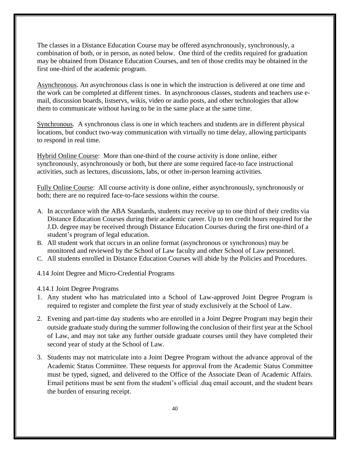The classes in a Distance Education Course may be offered asynchronously, synchronously, a combination of both, or in person, as noted below. One third of the credits required for graduation may be obtained from Distance Education Courses, and ten of those credits may be obtained in the first one-third of the academic program.

Asynchronous. An asynchronous class is one in which the instruction is delivered at one time and the work can be completed at different times. In asynchronous classes, students and teachers use email, discussion boards, listservs, wikis, video or audio posts, and other technologies that allow them to communicate without having to be in the same place at the same time.

Synchronous. A synchronous class is one in which teachers and students are in different physical locations, but conduct two-way communication with virtually no time delay, allowing participants to respond in real time.

Hybrid Online Course: More than one-third of the course activity is done online, either synchronously, asynchronously or both, but there are some required face-to face instructional activities, such as lectures, discussions, labs, or other in-person learning activities.

Fully Online Course: All course activity is done online, either asynchronously, synchronously or both; there are no required face-to-face sessions within the course.

- A. In accordance with the ABA Standards, students may receive up to one third of their credits via Distance Education Courses during their academic career. Up to ten credit hours required for the J.D. degree may be received through Distance Education Courses during the first one-third of a student's program of legal education.
- B. All student work that occurs in an online format (asynchronous or synchronous) may be monitored and reviewed by the School of Law faculty and other School of Law personnel.
- <span id="page-39-0"></span>C. All students enrolled in Distance Education Courses will abide by the Policies and Procedures.
- 4.14 Joint Degree and Micro-Credential Programs
- <span id="page-39-1"></span>4.14.1 Joint Degree Programs
- 1. Any student who has matriculated into a School of Law-approved Joint Degree Program is required to register and complete the first year of study exclusively at the School of Law.
- 2. Evening and part-time day students who are enrolled in a Joint Degree Program may begin their outside graduate study during the summer following the conclusion of their first year at the School of Law, and may not take any further outside graduate courses until they have completed their second year of study at the School of Law.
- 3. Students may not matriculate into a Joint Degree Program without the advance approval of the Academic Status Committee. These requests for approval from the Academic Status Committee must be typed, signed, and delivered to the Office of the Associate Dean of Academic Affairs. Email petitions must be sent from the student's official .duq email account, and the student bears the burden of ensuring receipt.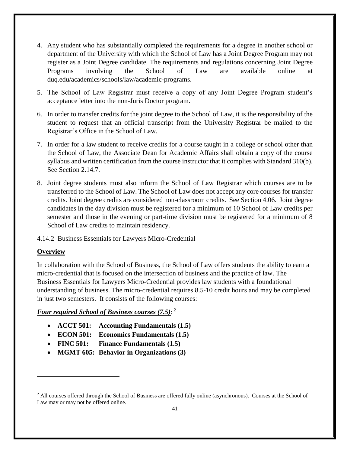- 4. Any student who has substantially completed the requirements for a degree in another school or department of the University with which the School of Law has a Joint Degree Program may not register as a Joint Degree candidate. The requirements and regulations concerning Joint Degree Programs involving the School of Law are available online at duq.edu/academics/schools/law/academic-programs.
- 5. The School of Law Registrar must receive a copy of any Joint Degree Program student's acceptance letter into the non-Juris Doctor program.
- 6. In order to transfer credits for the joint degree to the School of Law, it is the responsibility of the student to request that an official transcript from the University Registrar be mailed to the Registrar's Office in the School of Law.
- 7. In order for a law student to receive credits for a course taught in a college or school other than the School of Law, the Associate Dean for Academic Affairs shall obtain a copy of the course syllabus and written certification from the course instructor that it complies with Standard 310(b). See Section 2.14.7.
- 8. Joint degree students must also inform the School of Law Registrar which courses are to be transferred to the School of Law. The School of Law does not accept any core courses for transfer credits. Joint degree credits are considered non-classroom credits. See Section 4.06. Joint degree candidates in the day division must be registered for a minimum of 10 School of Law credits per semester and those in the evening or part-time division must be registered for a minimum of 8 School of Law credits to maintain residency.
- 4.14.2 Business Essentials for Lawyers Micro-Credential

# **Overview**

 $\overline{a}$ 

In collaboration with the School of Business, the School of Law offers students the ability to earn a micro-credential that is focused on the intersection of business and the practice of law. The Business Essentials for Lawyers Micro-Credential provides law students with a foundational understanding of business. The micro-credential requires 8.5-10 credit hours and may be completed in just two semesters. It consists of the following courses:

# *Four required School of Business courses (7.5)*: 2

- **ACCT 501: Accounting Fundamentals (1.5)**
- **ECON 501: Economics Fundamentals (1.5)**
- **FINC 501: Finance Fundamentals (1.5)**
- **MGMT 605: Behavior in Organizations (3)**

<sup>&</sup>lt;sup>2</sup> All courses offered through the School of Business are offered fully online (asynchronous). Courses at the School of Law may or may not be offered online.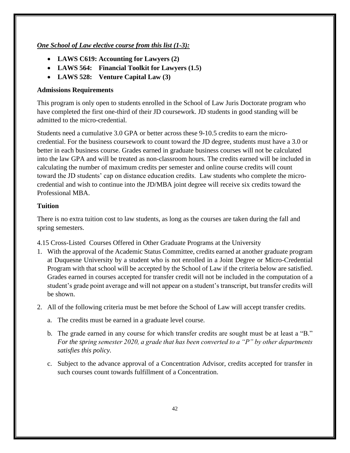# *One School of Law elective course from this list (1-3):*

- **LAWS C619: Accounting for Lawyers (2)**
- **LAWS 564: Financial Toolkit for Lawyers (1.5)**
- **LAWS 528: Venture Capital Law (3)**

### **Admissions Requirements**

This program is only open to students enrolled in the School of Law Juris Doctorate program who have completed the first one-third of their JD coursework. JD students in good standing will be admitted to the micro-credential.

Students need a cumulative 3.0 GPA or better across these 9-10.5 credits to earn the microcredential. For the business coursework to count toward the JD degree, students must have a 3.0 or better in each business course. Grades earned in graduate business courses will not be calculated into the law GPA and will be treated as non-classroom hours. The credits earned will be included in calculating the number of maximum credits per semester and online course credits will count toward the JD students' cap on distance education credits. Law students who complete the microcredential and wish to continue into the JD/MBA joint degree will receive six credits toward the Professional MBA.

# **Tuition**

There is no extra tuition cost to law students, as long as the courses are taken during the fall and spring semesters.

- <span id="page-41-0"></span>4.15 Cross-Listed Courses Offered in Other Graduate Programs at the University
- 1. With the approval of the Academic Status Committee, credits earned at another graduate program at Duquesne University by a student who is not enrolled in a Joint Degree or Micro-Credential Program with that school will be accepted by the School of Law if the criteria below are satisfied. Grades earned in courses accepted for transfer credit will not be included in the computation of a student's grade point average and will not appear on a student's transcript, but transfer credits will be shown.
- 2. All of the following criteria must be met before the School of Law will accept transfer credits.
	- a. The credits must be earned in a graduate level course.
	- b. The grade earned in any course for which transfer credits are sought must be at least a "B." *For the spring semester 2020, a grade that has been converted to a "P" by other departments satisfies this policy.*
	- c. Subject to the advance approval of a Concentration Advisor, credits accepted for transfer in such courses count towards fulfillment of a Concentration.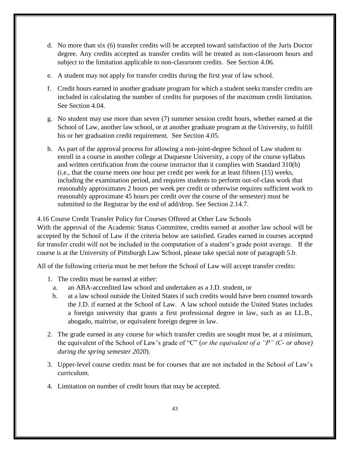- d. No more than six (6) transfer credits will be accepted toward satisfaction of the Juris Doctor degree. Any credits accepted as transfer credits will be treated as non-classroom hours and subject to the limitation applicable to non-classroom credits. See Section 4.06.
- e. A student may not apply for transfer credits during the first year of law school.
- f. Credit hours earned in another graduate program for which a student seeks transfer credits are included in calculating the number of credits for purposes of the maximum credit limitation. See Section 4.04.
- g. No student may use more than seven (7) summer session credit hours, whether earned at the School of Law, another law school, or at another graduate program at the University, to fulfill his or her graduation credit requirement. See Section 4.05.
- h. As part of the approval process for allowing a non-joint-degree School of Law student to enroll in a course in another college at Duquesne University, a copy of the course syllabus and written certification from the course instructor that it complies with Standard 310(b) (i.e., that the course meets one hour per credit per week for at least fifteen (15) weeks, including the examination period, and requires students to perform out-of-class work that reasonably approximates 2 hours per week per credit or otherwise requires sufficient work to reasonably approximate 45 hours per credit over the course of the semester) must be submitted to the Registrar by the end of add/drop. See Section 2.14.7.

# <span id="page-42-0"></span>4.16 Course Credit Transfer Policy for Courses Offered at Other Law Schools

With the approval of the Academic Status Committee, credits earned at another law school will be accepted by the School of Law if the criteria below are satisfied. Grades earned in courses accepted for transfer credit will not be included in the computation of a student's grade point average. If the course is at the University of Pittsburgh Law School, please take special note of paragraph 5.b.

All of the following criteria must be met before the School of Law will accept transfer credits:

- 1. The credits must be earned at either:
	- a. an ABA-accredited law school and undertaken as a J.D. student, or
	- b. at a law school outside the United States if such credits would have been counted towards the J.D. if earned at the School of Law. A law school outside the United States includes a foreign university that grants a first professional degree in law, such as an LL.B., abogado, maitrise, or equivalent foreign degree in law.
- 2. The grade earned in any course for which transfer credits are sought must be, at a minimum, the equivalent of the School of Law's grade of "C" (*or the equivalent of a "P" (C- or above) during the spring semester 2020*).
- 3. Upper-level course credits must be for courses that are not included in the School of Law's curriculum.
- 4. Limitation on number of credit hours that may be accepted.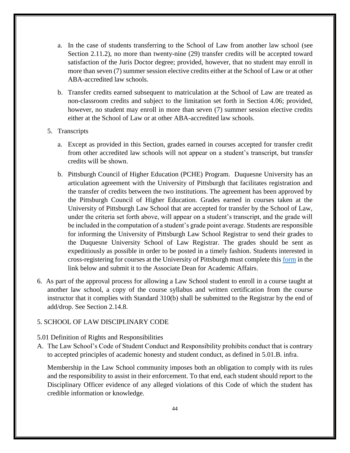- a. In the case of students transferring to the School of Law from another law school (see Section 2.11.2), no more than twenty-nine (29) transfer credits will be accepted toward satisfaction of the Juris Doctor degree; provided, however, that no student may enroll in more than seven (7) summer session elective credits either at the School of Law or at other ABA-accredited law schools.
- b. Transfer credits earned subsequent to matriculation at the School of Law are treated as non-classroom credits and subject to the limitation set forth in Section 4.06; provided, however, no student may enroll in more than seven (7) summer session elective credits either at the School of Law or at other ABA-accredited law schools.

#### 5. Transcripts

- a. Except as provided in this Section, grades earned in courses accepted for transfer credit from other accredited law schools will not appear on a student's transcript, but transfer credits will be shown.
- b. Pittsburgh Council of Higher Education (PCHE) Program.Duquesne University has an articulation agreement with the University of Pittsburgh that facilitates registration and the transfer of credits between the two institutions. The agreement has been approved by the Pittsburgh Council of Higher Education. Grades earned in courses taken at the University of Pittsburgh Law School that are accepted for transfer by the School of Law, under the criteria set forth above, will appear on a student's transcript, and the grade will be included in the computation of a student's grade point average. Students are responsible for informing the University of Pittsburgh Law School Registrar to send their grades to the Duquesne University School of Law Registrar. The grades should be sent as expeditiously as possible in order to be posted in a timely fashion. Students interested in cross-registering for courses at the University of Pittsburgh must complete this [form](https://www.duq.edu/assets/Documents/law/registrar/Forms/Draft%20of%20Petition%20for%20for%20PCHE%20Cross%20Registration%202018.04.05%20Edited.pdf) in the link below and submit it to the Associate Dean for Academic Affairs.
- 6. As part of the approval process for allowing a Law School student to enroll in a course taught at another law school, a copy of the course syllabus and written certification from the course instructor that it complies with Standard 310(b) shall be submitted to the Registrar by the end of add/drop. See Section 2.14.8.

#### <span id="page-43-1"></span><span id="page-43-0"></span>5. SCHOOL OF LAW DISCIPLINARY CODE

#### 5.01 Definition of Rights and Responsibilities

A. The Law School's Code of Student Conduct and Responsibility prohibits conduct that is contrary to accepted principles of academic honesty and student conduct, as defined in 5.01.B. infra.

Membership in the Law School community imposes both an obligation to comply with its rules and the responsibility to assist in their enforcement. To that end, each student should report to the Disciplinary Officer evidence of any alleged violations of this Code of which the student has credible information or knowledge.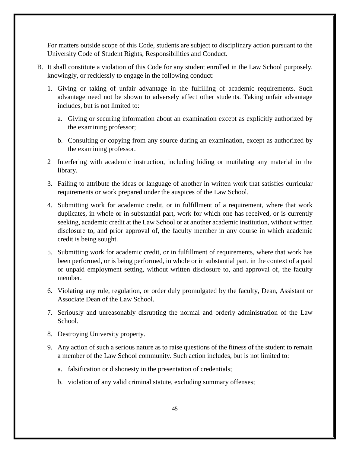For matters outside scope of this Code, students are subject to disciplinary action pursuant to the University Code of Student Rights, Responsibilities and Conduct.

- B. It shall constitute a violation of this Code for any student enrolled in the Law School purposely, knowingly, or recklessly to engage in the following conduct:
	- 1. Giving or taking of unfair advantage in the fulfilling of academic requirements. Such advantage need not be shown to adversely affect other students. Taking unfair advantage includes, but is not limited to:
		- a. Giving or securing information about an examination except as explicitly authorized by the examining professor;
		- b. Consulting or copying from any source during an examination, except as authorized by the examining professor.
	- 2 Interfering with academic instruction, including hiding or mutilating any material in the library.
	- 3. Failing to attribute the ideas or language of another in written work that satisfies curricular requirements or work prepared under the auspices of the Law School.
	- 4. Submitting work for academic credit, or in fulfillment of a requirement, where that work duplicates, in whole or in substantial part, work for which one has received, or is currently seeking, academic credit at the Law School or at another academic institution, without written disclosure to, and prior approval of, the faculty member in any course in which academic credit is being sought.
	- 5. Submitting work for academic credit, or in fulfillment of requirements, where that work has been performed, or is being performed, in whole or in substantial part, in the context of a paid or unpaid employment setting, without written disclosure to, and approval of, the faculty member.
	- 6. Violating any rule, regulation, or order duly promulgated by the faculty, Dean, Assistant or Associate Dean of the Law School.
	- 7. Seriously and unreasonably disrupting the normal and orderly administration of the Law School.
	- 8. Destroying University property.
	- 9. Any action of such a serious nature as to raise questions of the fitness of the student to remain a member of the Law School community. Such action includes, but is not limited to:
		- a. falsification or dishonesty in the presentation of credentials;
		- b. violation of any valid criminal statute, excluding summary offenses;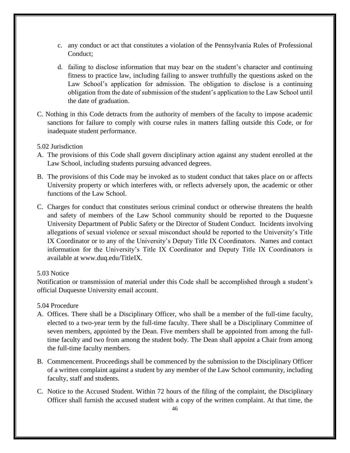- c. any conduct or act that constitutes a violation of the Pennsylvania Rules of Professional Conduct;
- d. failing to disclose information that may bear on the student's character and continuing fitness to practice law, including failing to answer truthfully the questions asked on the Law School's application for admission. The obligation to disclose is a continuing obligation from the date of submission of the student's application to the Law School until the date of graduation.
- C. Nothing in this Code detracts from the authority of members of the faculty to impose academic sanctions for failure to comply with course rules in matters falling outside this Code, or for inadequate student performance.
- <span id="page-45-0"></span>5.02 Jurisdiction
- A. The provisions of this Code shall govern disciplinary action against any student enrolled at the Law School, including students pursuing advanced degrees.
- B. The provisions of this Code may be invoked as to student conduct that takes place on or affects University property or which interferes with, or reflects adversely upon, the academic or other functions of the Law School.
- C. Charges for conduct that constitutes serious criminal conduct or otherwise threatens the health and safety of members of the Law School community should be reported to the Duquesne University Department of Public Safety or the Director of Student Conduct. Incidents involving allegations of sexual violence or sexual misconduct should be reported to the University's Title IX Coordinator or to any of the University's Deputy Title IX Coordinators. Names and contact information for the University's Title IX Coordinator and Deputy Title IX Coordinators is available at www.duq.edu/TitleIX.

### <span id="page-45-1"></span>5.03 Notice

Notification or transmission of material under this Code shall be accomplished through a student's official Duquesne University email account.

### <span id="page-45-2"></span>5.04 Procedure

- A. Offices. There shall be a Disciplinary Officer, who shall be a member of the full-time faculty, elected to a two-year term by the full-time faculty. There shall be a Disciplinary Committee of seven members, appointed by the Dean. Five members shall be appointed from among the fulltime faculty and two from among the student body. The Dean shall appoint a Chair from among the full-time faculty members.
- B. Commencement. Proceedings shall be commenced by the submission to the Disciplinary Officer of a written complaint against a student by any member of the Law School community, including faculty, staff and students.
- C. Notice to the Accused Student. Within 72 hours of the filing of the complaint, the Disciplinary Officer shall furnish the accused student with a copy of the written complaint. At that time, the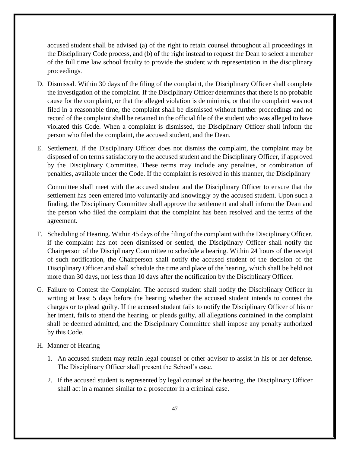accused student shall be advised (a) of the right to retain counsel throughout all proceedings in the Disciplinary Code process, and (b) of the right instead to request the Dean to select a member of the full time law school faculty to provide the student with representation in the disciplinary proceedings.

- D. Dismissal. Within 30 days of the filing of the complaint, the Disciplinary Officer shall complete the investigation of the complaint. If the Disciplinary Officer determines that there is no probable cause for the complaint, or that the alleged violation is de minimis, or that the complaint was not filed in a reasonable time, the complaint shall be dismissed without further proceedings and no record of the complaint shall be retained in the official file of the student who was alleged to have violated this Code. When a complaint is dismissed, the Disciplinary Officer shall inform the person who filed the complaint, the accused student, and the Dean.
- E. Settlement. If the Disciplinary Officer does not dismiss the complaint, the complaint may be disposed of on terms satisfactory to the accused student and the Disciplinary Officer, if approved by the Disciplinary Committee. These terms may include any penalties, or combination of penalties, available under the Code. If the complaint is resolved in this manner, the Disciplinary

Committee shall meet with the accused student and the Disciplinary Officer to ensure that the settlement has been entered into voluntarily and knowingly by the accused student. Upon such a finding, the Disciplinary Committee shall approve the settlement and shall inform the Dean and the person who filed the complaint that the complaint has been resolved and the terms of the agreement.

- F. Scheduling of Hearing. Within 45 days of the filing of the complaint with the Disciplinary Officer, if the complaint has not been dismissed or settled, the Disciplinary Officer shall notify the Chairperson of the Disciplinary Committee to schedule a hearing. Within 24 hours of the receipt of such notification, the Chairperson shall notify the accused student of the decision of the Disciplinary Officer and shall schedule the time and place of the hearing, which shall be held not more than 30 days, nor less than 10 days after the notification by the Disciplinary Officer.
- G. Failure to Contest the Complaint. The accused student shall notify the Disciplinary Officer in writing at least 5 days before the hearing whether the accused student intends to contest the charges or to plead guilty. If the accused student fails to notify the Disciplinary Officer of his or her intent, fails to attend the hearing, or pleads guilty, all allegations contained in the complaint shall be deemed admitted, and the Disciplinary Committee shall impose any penalty authorized by this Code.
- H. Manner of Hearing
	- 1. An accused student may retain legal counsel or other advisor to assist in his or her defense. The Disciplinary Officer shall present the School's case.
	- 2. If the accused student is represented by legal counsel at the hearing, the Disciplinary Officer shall act in a manner similar to a prosecutor in a criminal case.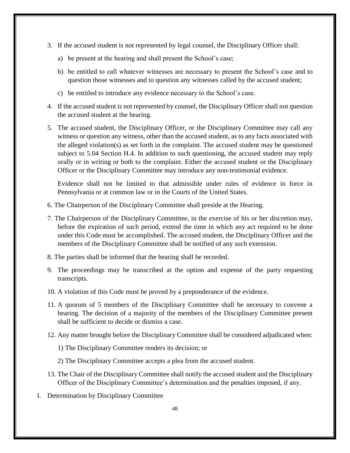- 3. If the accused student is not represented by legal counsel, the Disciplinary Officer shall:
	- a) be present at the hearing and shall present the School's case;
	- b) be entitled to call whatever witnesses are necessary to present the School's case and to question those witnesses and to question any witnesses called by the accused student;
	- c) be entitled to introduce any evidence necessary to the School's case.
- 4. If the accused student is not represented by counsel, the Disciplinary Officer shall not question the accused student at the hearing.
- 5. The accused student, the Disciplinary Officer, or the Disciplinary Committee may call any witness or question any witness, other than the accused student, as to any facts associated with the alleged violation(s) as set forth in the complaint. The accused student may be questioned subject to 5.04 Section H.4. In addition to such questioning, the accused student may reply orally or in writing or both to the complaint. Either the accused student or the Disciplinary Officer or the Disciplinary Committee may introduce any non-testimonial evidence.

Evidence shall not be limited to that admissible under rules of evidence in force in Pennsylvania or at common law or in the Courts of the United States.

- 6. The Chairperson of the Disciplinary Committee shall preside at the Hearing.
- 7. The Chairperson of the Disciplinary Committee, in the exercise of his or her discretion may, before the expiration of such period, extend the time in which any act required to be done under this Code must be accomplished. The accused student, the Disciplinary Officer and the members of the Disciplinary Committee shall be notified of any such extension.
- 8. The parties shall be informed that the hearing shall be recorded.
- 9. The proceedings may be transcribed at the option and expense of the party requesting transcripts.
- 10. A violation of this Code must be proved by a preponderance of the evidence.
- 11. A quorum of 5 members of the Disciplinary Committee shall be necessary to convene a hearing. The decision of a majority of the members of the Disciplinary Committee present shall be sufficient to decide or dismiss a case.
- 12. Any matter brought before the Disciplinary Committee shall be considered adjudicated when:
	- 1) The Disciplinary Committee renders its decision; or
	- 2) The Disciplinary Committee accepts a plea from the accused student.
- 13. The Chair of the Disciplinary Committee shall notify the accused student and the Disciplinary Officer of the Disciplinary Committee's determination and the penalties imposed, if any.
- I. Determination by Disciplinary Committee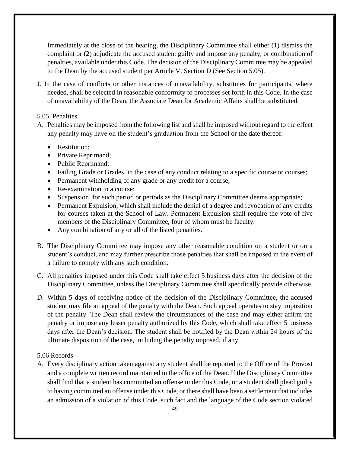Immediately at the close of the hearing, the Disciplinary Committee shall either (1) dismiss the complaint or (2) adjudicate the accused student guilty and impose any penalty, or combination of penalties, available under this Code. The decision of the Disciplinary Committee may be appealed to the Dean by the accused student per Article V. Section D (See Section 5.05).

J. In the case of conflicts or other instances of unavailability, substitutes for participants, where needed, shall be selected in reasonable conformity to processes set forth in this Code. In the case of unavailability of the Dean, the Associate Dean for Academic Affairs shall be substituted.

### <span id="page-48-0"></span>5.05 Penalties

- A. Penalties may be imposed from the following list and shall be imposed without regard to the effect any penalty may have on the student's graduation from the School or the date thereof:
	- Restitution:
	- Private Reprimand;
	- Public Reprimand;
	- Failing Grade or Grades, in the case of any conduct relating to a specific course or courses;
	- Permanent withholding of any grade or any credit for a course;
	- Re-examination in a course;
	- Suspension, for such period or periods as the Disciplinary Committee deems appropriate;
	- Permanent Expulsion, which shall include the denial of a degree and revocation of any credits for courses taken at the School of Law. Permanent Expulsion shall require the vote of five members of the Disciplinary Committee, four of whom must be faculty.
	- Any combination of any or all of the listed penalties.
- B. The Disciplinary Committee may impose any other reasonable condition on a student or on a student's conduct, and may further prescribe those penalties that shall be imposed in the event of a failure to comply with any such condition.
- C. All penalties imposed under this Code shall take effect 5 business days after the decision of the Disciplinary Committee, unless the Disciplinary Committee shall specifically provide otherwise.
- D. Within 5 days of receiving notice of the decision of the Disciplinary Committee, the accused student may file an appeal of the penalty with the Dean. Such appeal operates to stay imposition of the penalty. The Dean shall review the circumstances of the case and may either affirm the penalty or impose any lesser penalty authorized by this Code, which shall take effect 5 business days after the Dean's decision. The student shall be notified by the Dean within 24 hours of the ultimate disposition of the case, including the penalty imposed, if any.

# <span id="page-48-1"></span>5.06 Records

A. Every disciplinary action taken against any student shall be reported to the Office of the Provost and a complete written record maintained in the office of the Dean. If the Disciplinary Committee shall find that a student has committed an offense under this Code, or a student shall plead guilty to having committed an offense under this Code, or there shall have been a settlement that includes an admission of a violation of this Code, such fact and the language of the Code section violated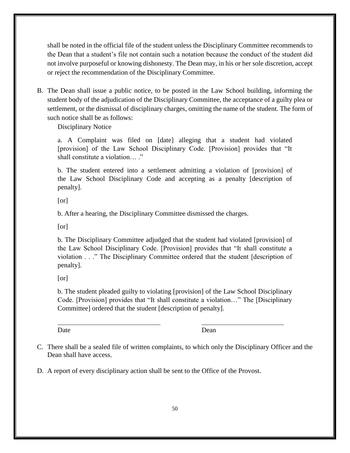shall be noted in the official file of the student unless the Disciplinary Committee recommends to the Dean that a student's file not contain such a notation because the conduct of the student did not involve purposeful or knowing dishonesty. The Dean may, in his or her sole discretion, accept or reject the recommendation of the Disciplinary Committee.

B. The Dean shall issue a public notice, to be posted in the Law School building, informing the student body of the adjudication of the Disciplinary Committee, the acceptance of a guilty plea or settlement, or the dismissal of disciplinary charges, omitting the name of the student. The form of such notice shall be as follows:

Disciplinary Notice

a. A Complaint was filed on [date] alleging that a student had violated [provision] of the Law School Disciplinary Code. [Provision] provides that "It shall constitute a violation… ."

b. The student entered into a settlement admitting a violation of [provision] of the Law School Disciplinary Code and accepting as a penalty [description of penalty].

[or]

b. After a hearing, the Disciplinary Committee dismissed the charges.

[or]

b. The Disciplinary Committee adjudged that the student had violated [provision] of the Law School Disciplinary Code. [Provision] provides that "It shall constitute a violation . . ." The Disciplinary Committee ordered that the student [description of penalty].

[or]

b. The student pleaded guilty to violating [provision] of the Law School Disciplinary Code. [Provision] provides that "It shall constitute a violation…" The [Disciplinary Committee] ordered that the student [description of penalty].

Date Dean Dean Dean Dean

- C. There shall be a sealed file of written complaints, to which only the Disciplinary Officer and the Dean shall have access.
- D. A report of every disciplinary action shall be sent to the Office of the Provost.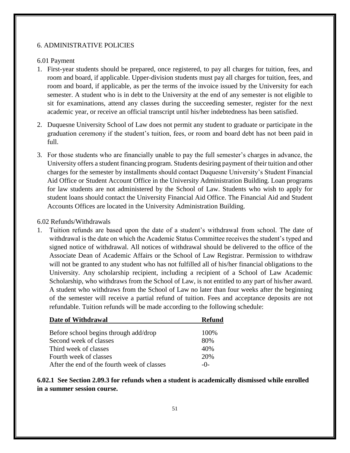### <span id="page-50-1"></span><span id="page-50-0"></span>6. ADMINISTRATIVE POLICIES

#### 6.01 Payment

- 1. First-year students should be prepared, once registered, to pay all charges for tuition, fees, and room and board, if applicable. Upper-division students must pay all charges for tuition, fees, and room and board, if applicable, as per the terms of the invoice issued by the University for each semester. A student who is in debt to the University at the end of any semester is not eligible to sit for examinations, attend any classes during the succeeding semester, register for the next academic year, or receive an official transcript until his/her indebtedness has been satisfied.
- 2. Duquesne University School of Law does not permit any student to graduate or participate in the graduation ceremony if the student's tuition, fees, or room and board debt has not been paid in full.
- 3. For those students who are financially unable to pay the full semester's charges in advance, the University offers a student financing program. Students desiring payment of their tuition and other charges for the semester by installments should contact Duquesne University's Student Financial Aid Office or Student Account Office in the University Administration Building. Loan programs for law students are not administered by the School of Law. Students who wish to apply for student loans should contact the University Financial Aid Office. The Financial Aid and Student Accounts Offices are located in the University Administration Building.

#### <span id="page-50-2"></span>6.02 Refunds/Withdrawals

1. Tuition refunds are based upon the date of a student's withdrawal from school. The date of withdrawal is the date on which the Academic Status Committee receives the student's typed and signed notice of withdrawal. All notices of withdrawal should be delivered to the office of the Associate Dean of Academic Affairs or the School of Law Registrar. Permission to withdraw will not be granted to any student who has not fulfilled all of his/her financial obligations to the University. Any scholarship recipient, including a recipient of a School of Law Academic Scholarship, who withdraws from the School of Law, is not entitled to any part of his/her award. A student who withdraws from the School of Law no later than four weeks after the beginning of the semester will receive a partial refund of tuition. Fees and acceptance deposits are not refundable. Tuition refunds will be made according to the following schedule:

| Date of Withdrawal                          | <b>Refund</b> |  |
|---------------------------------------------|---------------|--|
| Before school begins through add/drop       | 100\%         |  |
| Second week of classes                      | 80%           |  |
| Third week of classes                       | 40%           |  |
| Fourth week of classes                      | 20%           |  |
| After the end of the fourth week of classes | $-()$         |  |

<span id="page-50-3"></span>**6.02.1 See Section 2.09.3 for refunds when a student is academically dismissed while enrolled in a summer session course.**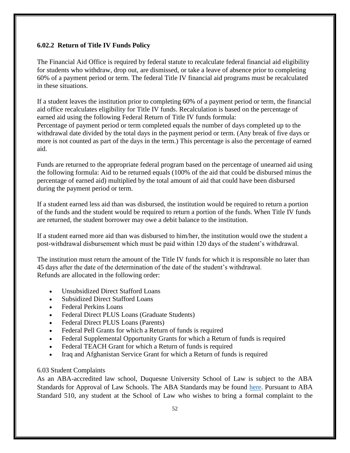# <span id="page-51-0"></span>**6.02.2 Return of Title IV Funds Policy**

The Financial Aid Office is required by federal statute to recalculate federal financial aid eligibility for students who withdraw, drop out, are dismissed, or take a leave of absence prior to completing 60% of a payment period or term. The federal Title IV financial aid programs must be recalculated in these situations.

If a student leaves the institution prior to completing 60% of a payment period or term, the financial aid office recalculates eligibility for Title IV funds. Recalculation is based on the percentage of earned aid using the following Federal Return of Title IV funds formula: Percentage of payment period or term completed equals the number of days completed up to the withdrawal date divided by the total days in the payment period or term. (Any break of five days or more is not counted as part of the days in the term.) This percentage is also the percentage of earned aid.

Funds are returned to the appropriate federal program based on the percentage of unearned aid using the following formula: Aid to be returned equals (100% of the aid that could be disbursed minus the percentage of earned aid) multiplied by the total amount of aid that could have been disbursed during the payment period or term.

If a student earned less aid than was disbursed, the institution would be required to return a portion of the funds and the student would be required to return a portion of the funds. When Title IV funds are returned, the student borrower may owe a debit balance to the institution.

If a student earned more aid than was disbursed to him/her, the institution would owe the student a post-withdrawal disbursement which must be paid within 120 days of the student's withdrawal.

The institution must return the amount of the Title IV funds for which it is responsible no later than 45 days after the date of the determination of the date of the student's withdrawal. Refunds are allocated in the following order:

- Unsubsidized Direct Stafford Loans
- Subsidized Direct Stafford Loans
- Federal Perkins Loans
- Federal Direct PLUS Loans (Graduate Students)
- Federal Direct PLUS Loans (Parents)
- Federal Pell Grants for which a Return of funds is required
- Federal Supplemental Opportunity Grants for which a Return of funds is required
- Federal TEACH Grant for which a Return of funds is required
- Iraq and Afghanistan Service Grant for which a Return of funds is required

### <span id="page-51-1"></span>6.03 Student Complaints

As an ABA-accredited law school, Duquesne University School of Law is subject to the ABA Standards for Approval of Law Schools. The ABA Standards may be found [here.](https://www.americanbar.org/groups/legal_education/resources/standards/) Pursuant to ABA Standard 510, any student at the School of Law who wishes to bring a formal complaint to the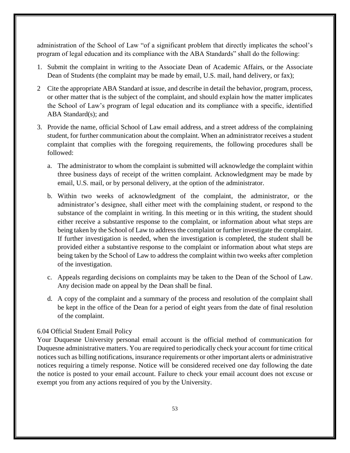administration of the School of Law "of a significant problem that directly implicates the school's program of legal education and its compliance with the ABA Standards" shall do the following:

- 1. Submit the complaint in writing to the Associate Dean of Academic Affairs, or the Associate Dean of Students (the complaint may be made by email, U.S. mail, hand delivery, or fax);
- 2 Cite the appropriate ABA Standard at issue, and describe in detail the behavior, program, process, or other matter that is the subject of the complaint, and should explain how the matter implicates the School of Law's program of legal education and its compliance with a specific, identified ABA Standard(s); and
- 3. Provide the name, official School of Law email address, and a street address of the complaining student, for further communication about the complaint. When an administrator receives a student complaint that complies with the foregoing requirements, the following procedures shall be followed:
	- a. The administrator to whom the complaint is submitted will acknowledge the complaint within three business days of receipt of the written complaint. Acknowledgment may be made by email, U.S. mail, or by personal delivery, at the option of the administrator.
	- b. Within two weeks of acknowledgment of the complaint, the administrator, or the administrator's designee, shall either meet with the complaining student, or respond to the substance of the complaint in writing. In this meeting or in this writing, the student should either receive a substantive response to the complaint, or information about what steps are being taken by the School of Law to address the complaint or further investigate the complaint. If further investigation is needed, when the investigation is completed, the student shall be provided either a substantive response to the complaint or information about what steps are being taken by the School of Law to address the complaint within two weeks after completion of the investigation.
	- c. Appeals regarding decisions on complaints may be taken to the Dean of the School of Law. Any decision made on appeal by the Dean shall be final.
	- d. A copy of the complaint and a summary of the process and resolution of the complaint shall be kept in the office of the Dean for a period of eight years from the date of final resolution of the complaint.

### <span id="page-52-0"></span>6.04 Official Student Email Policy

Your Duquesne University personal email account is the official method of communication for Duquesne administrative matters. You are required to periodically check your account for time critical notices such as billing notifications, insurance requirements or other important alerts or administrative notices requiring a timely response. Notice will be considered received one day following the date the notice is posted to your email account. Failure to check your email account does not excuse or exempt you from any actions required of you by the University.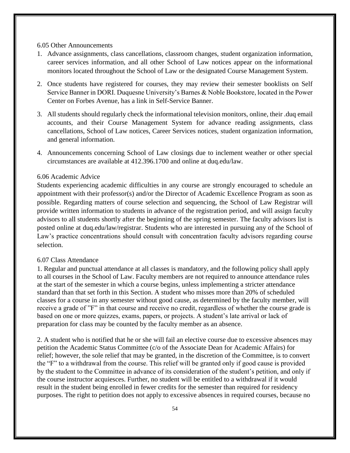<span id="page-53-0"></span>6.05 Other Announcements

- 1. Advance assignments, class cancellations, classroom changes, student organization information, career services information, and all other School of Law notices appear on the informational monitors located throughout the School of Law or the designated Course Management System.
- 2. Once students have registered for courses, they may review their semester booklists on Self Service Banner in DORI. Duquesne University's Barnes & Noble Bookstore, located in the Power Center on Forbes Avenue, has a link in Self-Service Banner.
- 3. All students should regularly check the informational television monitors, online, their .duq email accounts, and their Course Management System for advance reading assignments, class cancellations, School of Law notices, Career Services notices, student organization information, and general information.
- 4. Announcements concerning School of Law closings due to inclement weather or other special circumstances are available at 412.396.1700 and online at duq.edu/law.

#### <span id="page-53-1"></span>6.06 Academic Advice

Students experiencing academic difficulties in any course are strongly encouraged to schedule an appointment with their professor(s) and/or the Director of Academic Excellence Program as soon as possible. Regarding matters of course selection and sequencing, the School of Law Registrar will provide written information to students in advance of the registration period, and will assign faculty advisors to all students shortly after the beginning of the spring semester. The faculty advisors list is posted online at duq.edu/law/registrar. Students who are interested in pursuing any of the School of Law's practice concentrations should consult with concentration faculty advisors regarding course selection.

#### <span id="page-53-2"></span>6.07 Class Attendance

1. Regular and punctual attendance at all classes is mandatory, and the following policy shall apply to all courses in the School of Law. Faculty members are not required to announce attendance rules at the start of the semester in which a course begins, unless implementing a stricter attendance standard than that set forth in this Section. A student who misses more than 20% of scheduled classes for a course in any semester without good cause, as determined by the faculty member, will receive a grade of "F" in that course and receive no credit, regardless of whether the course grade is based on one or more quizzes, exams, papers, or projects. A student's late arrival or lack of preparation for class may be counted by the faculty member as an absence.

2. A student who is notified that he or she will fail an elective course due to excessive absences may petition the Academic Status Committee (c/o of the Associate Dean for Academic Affairs) for relief; however, the sole relief that may be granted, in the discretion of the Committee, is to convert the "F" to a withdrawal from the course. This relief will be granted only if good cause is provided by the student to the Committee in advance of its consideration of the student's petition, and only if the course instructor acquiesces. Further, no student will be entitled to a withdrawal if it would result in the student being enrolled in fewer credits for the semester than required for residency purposes. The right to petition does not apply to excessive absences in required courses, because no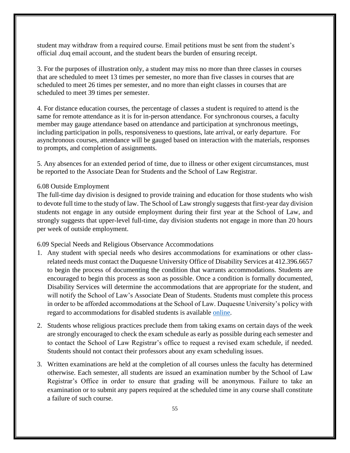student may withdraw from a required course. Email petitions must be sent from the student's official .duq email account, and the student bears the burden of ensuring receipt.

3. For the purposes of illustration only, a student may miss no more than three classes in courses that are scheduled to meet 13 times per semester, no more than five classes in courses that are scheduled to meet 26 times per semester, and no more than eight classes in courses that are scheduled to meet 39 times per semester.

4. For distance education courses, the percentage of classes a student is required to attend is the same for remote attendance as it is for in-person attendance. For synchronous courses, a faculty member may gauge attendance based on attendance and participation at synchronous meetings, including participation in polls, responsiveness to questions, late arrival, or early departure. For asynchronous courses, attendance will be gauged based on interaction with the materials, responses to prompts, and completion of assignments.

5. Any absences for an extended period of time, due to illness or other exigent circumstances, must be reported to the Associate Dean for Students and the School of Law Registrar.

#### <span id="page-54-0"></span>6.08 Outside Employment

The full-time day division is designed to provide training and education for those students who wish to devote full time to the study of law. The School of Law strongly suggests that first-year day division students not engage in any outside employment during their first year at the School of Law, and strongly suggests that upper-level full-time, day division students not engage in more than 20 hours per week of outside employment.

<span id="page-54-1"></span>6.09 Special Needs and Religious Observance Accommodations

- 1. Any student with special needs who desires accommodations for examinations or other classrelated needs must contact the Duquesne University Office of Disability Services at 412.396.6657 to begin the process of documenting the condition that warrants accommodations. Students are encouraged to begin this process as soon as possible. Once a condition is formally documented, Disability Services will determine the accommodations that are appropriate for the student, and will notify the School of Law's Associate Dean of Students. Students must complete this process in order to be afforded accommodations at the School of Law. Duquesne University's policy with regard to accommodations for disabled students is available [online.](https://www.duq.edu/life-at-duquesne/student-services/disability-services)
- 2. Students whose religious practices preclude them from taking exams on certain days of the week are strongly encouraged to check the exam schedule as early as possible during each semester and to contact the School of Law Registrar's office to request a revised exam schedule, if needed. Students should not contact their professors about any exam scheduling issues.
- 3. Written examinations are held at the completion of all courses unless the faculty has determined otherwise. Each semester, all students are issued an examination number by the School of Law Registrar's Office in order to ensure that grading will be anonymous. Failure to take an examination or to submit any papers required at the scheduled time in any course shall constitute a failure of such course.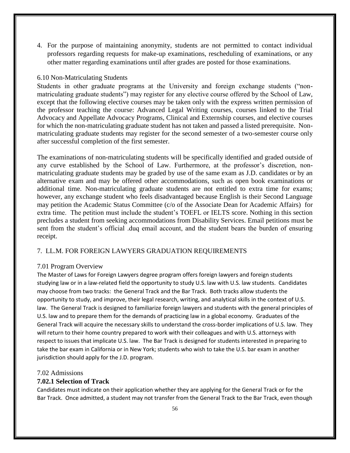4. For the purpose of maintaining anonymity, students are not permitted to contact individual professors regarding requests for make-up examinations, rescheduling of examinations, or any other matter regarding examinations until after grades are posted for those examinations.

#### <span id="page-55-0"></span>6.10 Non-Matriculating Students

Students in other graduate programs at the University and foreign exchange students ("nonmatriculating graduate students") may register for any elective course offered by the School of Law, except that the following elective courses may be taken only with the express written permission of the professor teaching the course: Advanced Legal Writing courses, courses linked to the Trial Advocacy and Appellate Advocacy Programs, Clinical and Externship courses, and elective courses for which the non-matriculating graduate student has not taken and passed a listed prerequisite. Nonmatriculating graduate students may register for the second semester of a two-semester course only after successful completion of the first semester.

The examinations of non-matriculating students will be specifically identified and graded outside of any curve established by the School of Law. Furthermore, at the professor's discretion, nonmatriculating graduate students may be graded by use of the same exam as J.D. candidates or by an alternative exam and may be offered other accommodations, such as open book examinations or additional time. Non-matriculating graduate students are not entitled to extra time for exams; however, any exchange student who feels disadvantaged because English is their Second Language may petition the Academic Status Committee (c/o of the Associate Dean for Academic Affairs) for extra time. The petition must include the student's TOEFL or IELTS score. Nothing in this section precludes a student from seeking accommodations from Disability Services. Email petitions must be sent from the student's official .duq email account, and the student bears the burden of ensuring receipt.

### <span id="page-55-1"></span>7. LL.M. FOR FOREIGN LAWYERS GRADUATION REQUIREMENTS

#### <span id="page-55-2"></span>7.01 Program Overview

The Master of Laws for Foreign Lawyers degree program offers foreign lawyers and foreign students studying law or in a law-related field the opportunity to study U.S. law with U.S. law students. Candidates may choose from two tracks: the General Track and the Bar Track. Both tracks allow students the opportunity to study, and improve, their legal research, writing, and analytical skills in the context of U.S. law. The General Track is designed to familiarize foreign lawyers and students with the general principles of U.S. law and to prepare them for the demands of practicing law in a global economy. Graduates of the General Track will acquire the necessary skills to understand the cross-border implications of U.S. law. They will return to their home country prepared to work with their colleagues and with U.S. attorneys with respect to issues that implicate U.S. law. The Bar Track is designed for students interested in preparing to take the bar exam in California or in New York; students who wish to take the U.S. bar exam in another jurisdiction should apply for the J.D. program.

#### <span id="page-55-3"></span>7.02 Admissions

### <span id="page-55-4"></span>**7.02.1 Selection of Track**

Candidates must indicate on their application whether they are applying for the General Track or for the Bar Track. Once admitted, a student may not transfer from the General Track to the Bar Track, even though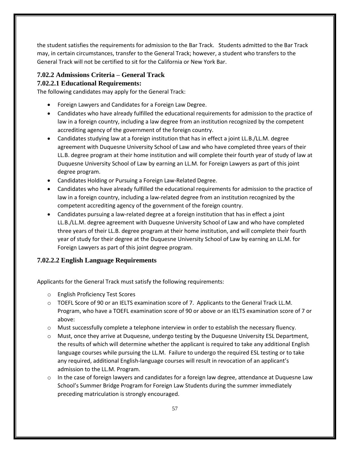the student satisfies the requirements for admission to the Bar Track. Students admitted to the Bar Track may, in certain circumstances, transfer to the General Track; however, a student who transfers to the General Track will not be certified to sit for the California or New York Bar.

# <span id="page-56-0"></span>**7.02.2 Admissions Criteria – General Track**

# <span id="page-56-1"></span>**7.02.2.1 Educational Requirements:**

The following candidates may apply for the General Track:

- Foreign Lawyers and Candidates for a Foreign Law Degree.
- Candidates who have already fulfilled the educational requirements for admission to the practice of law in a foreign country, including a law degree from an institution recognized by the competent accrediting agency of the government of the foreign country.
- Candidates studying law at a foreign institution that has in effect a joint LL.B./LL.M. degree agreement with Duquesne University School of Law and who have completed three years of their LL.B. degree program at their home institution and will complete their fourth year of study of law at Duquesne University School of Law by earning an LL.M. for Foreign Lawyers as part of this joint degree program.
- Candidates Holding or Pursuing a Foreign Law-Related Degree.
- Candidates who have already fulfilled the educational requirements for admission to the practice of law in a foreign country, including a law-related degree from an institution recognized by the competent accrediting agency of the government of the foreign country.
- Candidates pursuing a law-related degree at a foreign institution that has in effect a joint LL.B./LL.M. degree agreement with Duquesne University School of Law and who have completed three years of their LL.B. degree program at their home institution, and will complete their fourth year of study for their degree at the Duquesne University School of Law by earning an LL.M. for Foreign Lawyers as part of this joint degree program.

# <span id="page-56-2"></span>**7.02.2.2 English Language Requirements**

Applicants for the General Track must satisfy the following requirements:

- o English Proficiency Test Scores
- o TOEFL Score of 90 or an IELTS examination score of 7. Applicants to the General Track LL.M. Program, who have a TOEFL examination score of 90 or above or an IELTS examination score of 7 or above:
- o Must successfully complete a telephone interview in order to establish the necessary fluency.
- o Must, once they arrive at Duquesne, undergo testing by the Duquesne University ESL Department, the results of which will determine whether the applicant is required to take any additional English language courses while pursuing the LL.M. Failure to undergo the required ESL testing or to take any required, additional English-language courses will result in revocation of an applicant's admission to the LL.M. Program.
- $\circ$  In the case of foreign lawyers and candidates for a foreign law degree, attendance at Duquesne Law School's Summer Bridge Program for Foreign Law Students during the summer immediately preceding matriculation is strongly encouraged.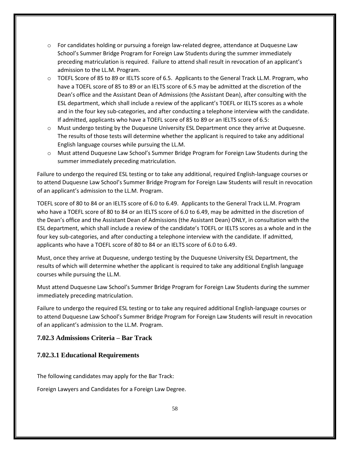- $\circ$  For candidates holding or pursuing a foreign law-related degree, attendance at Duquesne Law School's Summer Bridge Program for Foreign Law Students during the summer immediately preceding matriculation is required. Failure to attend shall result in revocation of an applicant's admission to the LL.M. Program.
- o TOEFL Score of 85 to 89 or IELTS score of 6.5. Applicants to the General Track LL.M. Program, who have a TOEFL score of 85 to 89 or an IELTS score of 6.5 may be admitted at the discretion of the Dean's office and the Assistant Dean of Admissions (the Assistant Dean), after consulting with the ESL department, which shall include a review of the applicant's TOEFL or IELTS scores as a whole and in the four key sub-categories, and after conducting a telephone interview with the candidate. If admitted, applicants who have a TOEFL score of 85 to 89 or an IELTS score of 6.5:
- o Must undergo testing by the Duquesne University ESL Department once they arrive at Duquesne. The results of those tests will determine whether the applicant is required to take any additional English language courses while pursuing the LL.M.
- o Must attend Duquesne Law School's Summer Bridge Program for Foreign Law Students during the summer immediately preceding matriculation.

Failure to undergo the required ESL testing or to take any additional, required English-language courses or to attend Duquesne Law School's Summer Bridge Program for Foreign Law Students will result in revocation of an applicant's admission to the LL.M. Program.

TOEFL score of 80 to 84 or an IELTS score of 6.0 to 6.49. Applicants to the General Track LL.M. Program who have a TOEFL score of 80 to 84 or an IELTS score of 6.0 to 6.49, may be admitted in the discretion of the Dean's office and the Assistant Dean of Admissions (the Assistant Dean) ONLY, in consultation with the ESL department, which shall include a review of the candidate's TOEFL or IELTS scores as a whole and in the four key sub-categories, and after conducting a telephone interview with the candidate. If admitted, applicants who have a TOEFL score of 80 to 84 or an IELTS score of 6.0 to 6.49.

Must, once they arrive at Duquesne, undergo testing by the Duquesne University ESL Department, the results of which will determine whether the applicant is required to take any additional English language courses while pursuing the LL.M.

Must attend Duquesne Law School's Summer Bridge Program for Foreign Law Students during the summer immediately preceding matriculation.

Failure to undergo the required ESL testing or to take any required additional English-language courses or to attend Duquesne Law School's Summer Bridge Program for Foreign Law Students will result in revocation of an applicant's admission to the LL.M. Program.

# <span id="page-57-0"></span>**7.02.3 Admissions Criteria – Bar Track**

# <span id="page-57-1"></span>**7.02.3.1 Educational Requirements**

The following candidates may apply for the Bar Track:

Foreign Lawyers and Candidates for a Foreign Law Degree.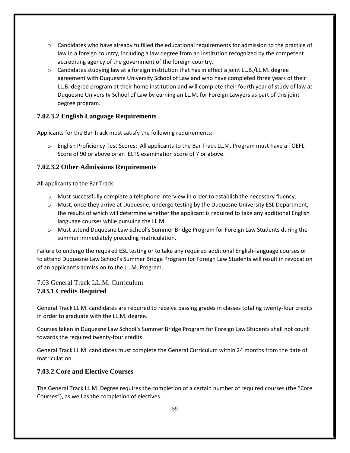- $\circ$  Candidates who have already fulfilled the educational requirements for admission to the practice of law in a foreign country, including a law degree from an institution recognized by the competent accrediting agency of the government of the foreign country.
- $\circ$  Candidates studying law at a foreign institution that has in effect a joint LL.B./LL.M. degree agreement with Duquesne University School of Law and who have completed three years of their LL.B. degree program at their home institution and will complete their fourth year of study of law at Duquesne University School of Law by earning an LL.M. for Foreign Lawyers as part of this joint degree program.

# <span id="page-58-0"></span>**7.02.3.2 English Language Requirements**

Applicants for the Bar Track must satisfy the following requirements:

o English Proficiency Test Scores: All applicants to the Bar Track LL.M. Program must have a TOEFL Score of 90 or above or an IELTS examination score of 7 or above.

# <span id="page-58-1"></span>**7.02.3.2 Other Admissions Requirements**

All applicants to the Bar Track:

- o Must successfully complete a telephone interview in order to establish the necessary fluency.
- o Must, once they arrive at Duquesne, undergo testing by the Duquesne University ESL Department, the results of which will determine whether the applicant is required to take any additional English language courses while pursuing the LL.M.
- o Must attend Duquesne Law School's Summer Bridge Program for Foreign Law Students during the summer immediately preceding matriculation.

Failure to undergo the required ESL testing or to take any required additional English-language courses or to attend Duquesne Law School's Summer Bridge Program for Foreign Law Students will result in revocation of an applicant's admission to the LL.M. Program.

# <span id="page-58-3"></span><span id="page-58-2"></span>7.03 General Track LL.M. Curriculum **7.03.1 Credits Required**

General Track LL.M. candidates are required to receive passing grades in classes totaling twenty-four credits in order to graduate with the LL.M. degree.

Courses taken in Duquesne Law School's Summer Bridge Program for Foreign Law Students shall not count towards the required twenty-four credits.

General Track LL.M. candidates must complete the General Curriculum within 24 months from the date of matriculation.

# <span id="page-58-4"></span>**7.03.2 Core and Elective Courses**

The General Track LL.M. Degree requires the completion of a certain number of required courses (the "Core Courses"), as well as the completion of electives.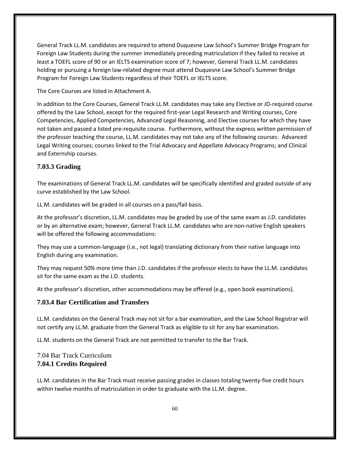General Track LL.M. candidates are required to attend Duquesne Law School's Summer Bridge Program for Foreign Law Students during the summer immediately preceding matriculation if they failed to receive at least a TOEFL score of 90 or an IELTS examination score of 7; however, General Track LL.M. candidates holding or pursuing a foreign law-related degree must attend Duquesne Law School's Summer Bridge Program for Foreign Law Students regardless of their TOEFL or IELTS score.

The Core Courses are listed in Attachment A.

In addition to the Core Courses, General Track LL.M. candidates may take any Elective or JD-required course offered by the Law School, except for the required first-year Legal Research and Writing courses, Core Competencies, Applied Competencies, Advanced Legal Reasoning, and Elective courses for which they have not taken and passed a listed pre-requisite course. Furthermore, without the express written permission of the professor teaching the course, LL.M. candidates may not take any of the following courses: Advanced Legal Writing courses; courses linked to the Trial Advocacy and Appellate Advocacy Programs; and Clinical and Externship courses.

# <span id="page-59-0"></span>**7.03.3 Grading**

The examinations of General Track LL.M. candidates will be specifically identified and graded outside of any curve established by the Law School.

LL.M. candidates will be graded in all courses on a pass/fail basis.

At the professor's discretion, LL.M. candidates may be graded by use of the same exam as J.D. candidates or by an alternative exam; however, General Track LL.M. candidates who are non-native English speakers will be offered the following accommodations:

They may use a common-language (i.e., not legal) translating dictionary from their native language into English during any examination.

They may request 50% more time than J.D. candidates if the professor elects to have the LL.M. candidates sit for the same exam as the J.D. students.

At the professor's discretion, other accommodations may be offered (e.g., open book examinations).

### <span id="page-59-1"></span>**7.03.4 Bar Certification and Transfers**

LL.M. candidates on the General Track may not sit for a bar examination, and the Law School Registrar will not certify any LL.M. graduate from the General Track as eligible to sit for any bar examination.

LL.M. students on the General Track are not permitted to transfer to the Bar Track.

<span id="page-59-3"></span><span id="page-59-2"></span>7.04 Bar Track Curriculum **7.04.1 Credits Required** 

LL.M. candidates in the Bar Track must receive passing grades in classes totaling twenty-five credit hours within twelve months of matriculation in order to graduate with the LL.M. degree.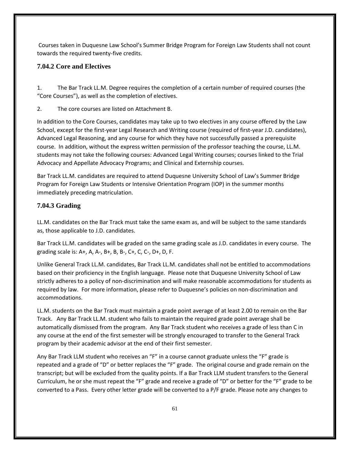Courses taken in Duquesne Law School's Summer Bridge Program for Foreign Law Students shall not count towards the required twenty-five credits.

# <span id="page-60-0"></span>**7.04.2 Core and Electives**

1. The Bar Track LL.M. Degree requires the completion of a certain number of required courses (the "Core Courses"), as well as the completion of electives.

2. The core courses are listed on Attachment B.

In addition to the Core Courses, candidates may take up to two electives in any course offered by the Law School, except for the first-year Legal Research and Writing course (required of first-year J.D. candidates), Advanced Legal Reasoning, and any course for which they have not successfully passed a prerequisite course. In addition, without the express written permission of the professor teaching the course, LL.M. students may not take the following courses: Advanced Legal Writing courses; courses linked to the Trial Advocacy and Appellate Advocacy Programs; and Clinical and Externship courses.

Bar Track LL.M. candidates are required to attend Duquesne University School of Law's Summer Bridge Program for Foreign Law Students or Intensive Orientation Program (IOP) in the summer months immediately preceding matriculation.

# <span id="page-60-1"></span>**7.04.3 Grading**

LL.M. candidates on the Bar Track must take the same exam as, and will be subject to the same standards as, those applicable to J.D. candidates.

Bar Track LL.M. candidates will be graded on the same grading scale as J.D. candidates in every course. The grading scale is: A+, A, A-, B+, B, B-, C+, C, C-, D+, D, F.

Unlike General Track LL.M. candidates, Bar Track LL.M. candidates shall not be entitled to accommodations based on their proficiency in the English language. Please note that Duquesne University School of Law strictly adheres to a policy of non-discrimination and will make reasonable accommodations for students as required by law. For more information, please refer to Duquesne's policies on non-discrimination and accommodations.

LL.M. students on the Bar Track must maintain a grade point average of at least 2.00 to remain on the Bar Track. Any Bar Track LL.M. student who fails to maintain the required grade point average shall be automatically dismissed from the program. Any Bar Track student who receives a grade of less than C in any course at the end of the first semester will be strongly encouraged to transfer to the General Track program by their academic advisor at the end of their first semester.

Any Bar Track LLM student who receives an "F" in a course cannot graduate unless the "F" grade is repeated and a grade of "D" or better replaces the "F" grade. The original course and grade remain on the transcript; but will be excluded from the quality points. If a Bar Track LLM student transfers to the General Curriculum, he or she must repeat the "F" grade and receive a grade of "D" or better for the "F" grade to be converted to a Pass. Every other letter grade will be converted to a P/F grade. Please note any changes to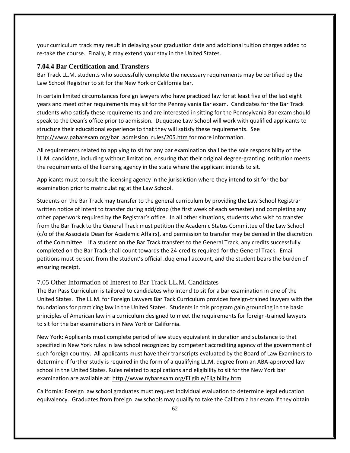your curriculum track may result in delaying your graduation date and additional tuition charges added to re-take the course. Finally, it may extend your stay in the United States.

#### <span id="page-61-0"></span>**7.04.4 Bar Certification and Transfers**

Bar Track LL.M. students who successfully complete the necessary requirements may be certified by the Law School Registrar to sit for the New York or California bar.

In certain limited circumstances foreign lawyers who have practiced law for at least five of the last eight years and meet other requirements may sit for the Pennsylvania Bar exam. Candidates for the Bar Track students who satisfy these requirements and are interested in sitting for the Pennsylvania Bar exam should speak to the Dean's office prior to admission. Duquesne Law School will work with qualified applicants to structure their educational experience to that they will satisfy these requirements. See [http://www.pabarexam.org/bar\\_admission\\_rules/205.htm](http://www.pabarexam.org/bar_admission_rules/205.htm) for more information.

All requirements related to applying to sit for any bar examination shall be the sole responsibility of the LL.M. candidate, including without limitation, ensuring that their original degree-granting institution meets the requirements of the licensing agency in the state where the applicant intends to sit.

Applicants must consult the licensing agency in the jurisdiction where they intend to sit for the bar examination prior to matriculating at the Law School.

Students on the Bar Track may transfer to the general curriculum by providing the Law School Registrar written notice of intent to transfer during add/drop (the first week of each semester) and completing any other paperwork required by the Registrar's office. In all other situations, students who wish to transfer from the Bar Track to the General Track must petition the Academic Status Committee of the Law School (c/o of the Associate Dean for Academic Affairs), and permission to transfer may be denied in the discretion of the Committee. If a student on the Bar Track transfers to the General Track, any credits successfully completed on the Bar Track shall count towards the 24-credits required for the General Track. Email petitions must be sent from the student's official .duq email account, and the student bears the burden of ensuring receipt.

#### <span id="page-61-1"></span>7.05 Other Information of Interest to Bar Track LL.M. Candidates

The Bar Pass Curriculum is tailored to candidates who intend to sit for a bar examination in one of the United States. The LL.M. for Foreign Lawyers Bar Tack Curriculum provides foreign-trained lawyers with the foundations for practicing law in the United States. Students in this program gain grounding in the basic principles of American law in a curriculum designed to meet the requirements for foreign-trained lawyers to sit for the bar examinations in New York or California.

New York: Applicants must complete period of law study equivalent in duration and substance to that specified in New York rules in law school recognized by competent accrediting agency of the government of such foreign country. All applicants must have their transcripts evaluated by the Board of Law Examiners to determine if further study is required in the form of a qualifying LL.M. degree from an ABA-approved law school in the United States. Rules related to applications and eligibility to sit for the New York bar examination are available at:<http://www.nybarexam.org/Eligible/Eligibility.htm>

California: Foreign law school graduates must request individual evaluation to determine legal education equivalency. Graduates from foreign law schools may qualify to take the California bar exam if they obtain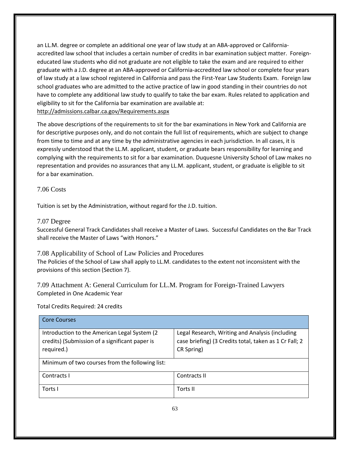an LL.M. degree or complete an additional one year of law study at an ABA-approved or Californiaaccredited law school that includes a certain number of credits in bar examination subject matter. Foreigneducated law students who did not graduate are not eligible to take the exam and are required to either graduate with a J.D. degree at an ABA-approved or California-accredited law school or complete four years of law study at a law school registered in California and pass the First-Year Law Students Exam. Foreign law school graduates who are admitted to the active practice of law in good standing in their countries do not have to complete any additional law study to qualify to take the bar exam. Rules related to application and eligibility to sit for the California bar examination are available at: <http://admissions.calbar.ca.gov/Requirements.aspx>

The above descriptions of the requirements to sit for the bar examinations in New York and California are for descriptive purposes only, and do not contain the full list of requirements, which are subject to change from time to time and at any time by the administrative agencies in each jurisdiction. In all cases, it is expressly understood that the LL.M. applicant, student, or graduate bears responsibility for learning and complying with the requirements to sit for a bar examination. Duquesne University School of Law makes no representation and provides no assurances that any LL.M. applicant, student, or graduate is eligible to sit for a bar examination.

<span id="page-62-0"></span>7.06 Costs

Tuition is set by the Administration, without regard for the J.D. tuition.

### <span id="page-62-1"></span>7.07 Degree

Successful General Track Candidates shall receive a Master of Laws. Successful Candidates on the Bar Track shall receive the Master of Laws "with Honors."

<span id="page-62-2"></span>7.08 Applicability of School of Law Policies and Procedures The Policies of the School of Law shall apply to LL.M. candidates to the extent not inconsistent with the provisions of this section (Section 7).

<span id="page-62-3"></span>7.09 Attachment A: General Curriculum for LL.M. Program for Foreign-Trained Lawyers Completed in One Academic Year

Total Credits Required: 24 credits

| <b>Core Courses</b>                                                                                           |                                                                                                                         |
|---------------------------------------------------------------------------------------------------------------|-------------------------------------------------------------------------------------------------------------------------|
| Introduction to the American Legal System (2)<br>credits) (Submission of a significant paper is<br>required.) | Legal Research, Writing and Analysis (including<br>case briefing) (3 Credits total, taken as 1 Cr Fall; 2<br>CR Spring) |
| Minimum of two courses from the following list:                                                               |                                                                                                                         |
| Contracts I                                                                                                   | Contracts II                                                                                                            |
| Torts I                                                                                                       | Torts II                                                                                                                |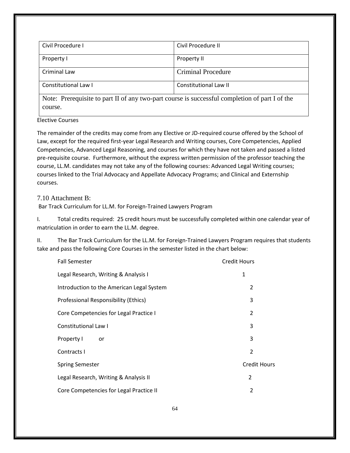| Civil Procedure I    | Civil Procedure II        |
|----------------------|---------------------------|
| Property I           | Property II               |
| Criminal Law         | <b>Criminal Procedure</b> |
| Constitutional Law I | Constitutional Law II     |

Note: Prerequisite to part II of any two-part course is successful completion of part I of the course.

Elective Courses

The remainder of the credits may come from any Elective or JD-required course offered by the School of Law, except for the required first-year Legal Research and Writing courses, Core Competencies, Applied Competencies, Advanced Legal Reasoning, and courses for which they have not taken and passed a listed pre-requisite course. Furthermore, without the express written permission of the professor teaching the course, LL.M. candidates may not take any of the following courses: Advanced Legal Writing courses; courses linked to the Trial Advocacy and Appellate Advocacy Programs; and Clinical and Externship courses.

<span id="page-63-0"></span>7.10 Attachment B:

Bar Track Curriculum for LL.M. for Foreign-Trained Lawyers Program

I. Total credits required: 25 credit hours must be successfully completed within one calendar year of matriculation in order to earn the LL.M. degree.

II. The Bar Track Curriculum for the LL.M. for Foreign-Trained Lawyers Program requires that students take and pass the following Core Courses in the semester listed in the chart below:

| <b>Fall Semester</b>                      | <b>Credit Hours</b> |
|-------------------------------------------|---------------------|
| Legal Research, Writing & Analysis I      | 1                   |
| Introduction to the American Legal System | 2                   |
| Professional Responsibility (Ethics)      | 3                   |
| Core Competencies for Legal Practice I    | $\overline{2}$      |
| <b>Constitutional Law I</b>               | 3                   |
| Property I<br>or                          | 3                   |
| Contracts I                               | $\overline{2}$      |
| <b>Spring Semester</b>                    | <b>Credit Hours</b> |
| Legal Research, Writing & Analysis II     | 2                   |
| Core Competencies for Legal Practice II   | 2                   |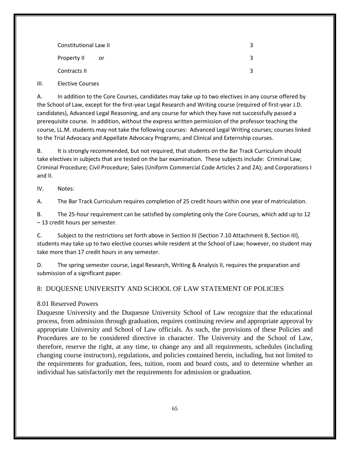| Constitutional Law II |    |  |
|-----------------------|----|--|
| Property II           | or |  |
| Contracts II          |    |  |

III. Elective Courses

A. In addition to the Core Courses, candidates may take up to two electives in any course offered by the School of Law, except for the first-year Legal Research and Writing course (required of first-year J.D. candidates), Advanced Legal Reasoning, and any course for which they have not successfully passed a prerequisite course. In addition, without the express written permission of the professor teaching the course, LL.M. students may not take the following courses: Advanced Legal Writing courses; courses linked to the Trial Advocacy and Appellate Advocacy Programs; and Clinical and Externship courses.

B. It is strongly recommended, but not required, that students on the Bar Track Curriculum should take electives in subjects that are tested on the bar examination. These subjects include: Criminal Law; Criminal Procedure; Civil Procedure; Sales (Uniform Commercial Code Articles 2 and 2A); and Corporations I and II.

IV. Notes:

A. The Bar Track Curriculum requires completion of 25 credit hours within one year of matriculation.

B. The 25-hour requirement can be satisfied by completing only the Core Courses, which add up to 12 – 13 credit hours per semester.

C. Subject to the restrictions set forth above in Section III (Section 7.10 Attachment B, Section III), students may take up to two elective courses while resident at the School of Law; however, no student may take more than 17 credit hours in any semester.

D. The spring semester course, Legal Research, Writing & Analysis II, requires the preparation and submission of a significant paper.

### <span id="page-64-0"></span>8: DUQUESNE UNIVERSITY AND SCHOOL OF LAW STATEMENT OF POLICIES

#### <span id="page-64-1"></span>8.01 Reserved Powers

Duquesne University and the Duquesne University School of Law recognize that the educational process, from admission through graduation, requires continuing review and appropriate approval by appropriate University and School of Law officials. As such, the provisions of these Policies and Procedures are to be considered directive in character. The University and the School of Law, therefore, reserve the right, at any time, to change any and all requirements, schedules (including changing course instructors), regulations, and policies contained herein, including, but not limited to the requirements for graduation, fees, tuition, room and board costs, and to determine whether an individual has satisfactorily met the requirements for admission or graduation.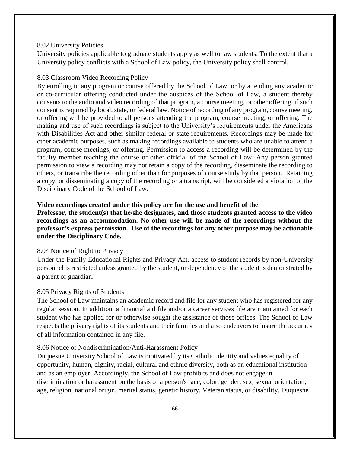#### <span id="page-65-0"></span>8.02 University Policies

University policies applicable to graduate students apply as well to law students. To the extent that a University policy conflicts with a School of Law policy, the University policy shall control.

#### <span id="page-65-1"></span>8.03 Classroom Video Recording Policy

By enrolling in any program or course offered by the School of Law, or by attending any academic or co-curricular offering conducted under the auspices of the School of Law, a student thereby consents to the audio and video recording of that program, a course meeting, or other offering, if such consent is required by local, state, or federal law. Notice of recording of any program, course meeting, or offering will be provided to all persons attending the program, course meeting, or offering. The making and use of such recordings is subject to the University's requirements under the Americans with Disabilities Act and other similar federal or state requirements. Recordings may be made for other academic purposes, such as making recordings available to students who are unable to attend a program, course meetings, or offering. Permission to access a recording will be determined by the faculty member teaching the course or other official of the School of Law. Any person granted permission to view a recording may not retain a copy of the recording, disseminate the recording to others, or transcribe the recording other than for purposes of course study by that person. Retaining a copy, or disseminating a copy of the recording or a transcript, will be considered a violation of the Disciplinary Code of the School of Law.

### **Video recordings created under this policy are for the use and benefit of the**

**Professor, the student(s) that he/she designates, and those students granted access to the video recordings as an accommodation. No other use will be made of the recordings without the professor's express permission. Use of the recordings for any other purpose may be actionable under the Disciplinary Code.**

#### <span id="page-65-2"></span>8.04 Notice of Right to Privacy

Under the Family Educational Rights and Privacy Act, access to student records by non-University personnel is restricted unless granted by the student, or dependency of the student is demonstrated by a parent or guardian.

#### <span id="page-65-3"></span>8.05 Privacy Rights of Students

The School of Law maintains an academic record and file for any student who has registered for any regular session. In addition, a financial aid file and/or a career services file are maintained for each student who has applied for or otherwise sought the assistance of those offices. The School of Law respects the privacy rights of its students and their families and also endeavors to insure the accuracy of all information contained in any file.

#### <span id="page-65-4"></span>8.06 Notice of Nondiscrimination/Anti-Harassment Policy

Duquesne University School of Law is motivated by its Catholic identity and values equality of opportunity, human, dignity, racial, cultural and ethnic diversity, both as an educational institution and as an employer. Accordingly, the School of Law prohibits and does not engage in discrimination or harassment on the basis of a person's race, color, gender, sex, sexual orientation, age, religion, national origin, marital status, genetic history, Veteran status, or disability. Duquesne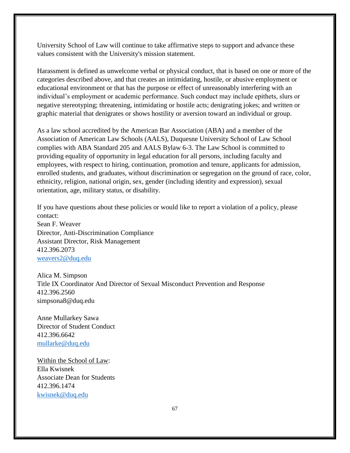University School of Law will continue to take affirmative steps to support and advance these values consistent with the University's mission statement.

Harassment is defined as unwelcome verbal or physical conduct, that is based on one or more of the categories described above, and that creates an intimidating, hostile, or abusive employment or educational environment or that has the purpose or effect of unreasonably interfering with an individual's employment or academic performance. Such conduct may include epithets, slurs or negative stereotyping; threatening, intimidating or hostile acts; denigrating jokes; and written or graphic material that denigrates or shows hostility or aversion toward an individual or group.

As a law school accredited by the American Bar Association (ABA) and a member of the Association of American Law Schools (AALS), Duquesne University School of Law School complies with ABA Standard 205 and AALS Bylaw 6-3. The Law School is committed to providing equality of opportunity in legal education for all persons, including faculty and employees, with respect to hiring, continuation, promotion and tenure, applicants for admission, enrolled students, and graduates, without discrimination or segregation on the ground of race, color, ethnicity, religion, national origin, sex, gender (including identity and expression), sexual orientation, age, military status, or disability.

If you have questions about these policies or would like to report a violation of a policy, please contact: Sean F. Weaver Director, Anti-Discrimination Compliance Assistant Director, Risk Management 412.396.2073 [weavers2@duq.edu](mailto:weavers2@duq.edu)

Alica M. Simpson Title IX Coordinator And Director of Sexual Misconduct Prevention and Response 412.396.2560 simpsona8@duq.edu

Anne Mullarkey Sawa Director of Student Conduct 412.396.6642 [mullarke@duq.edu](mailto:mullarke@duq.edu)

Within the School of Law: Ella Kwisnek Associate Dean for Students 412.396.1474 [kwisnek@duq.edu](mailto:kwisnek@duq.edu)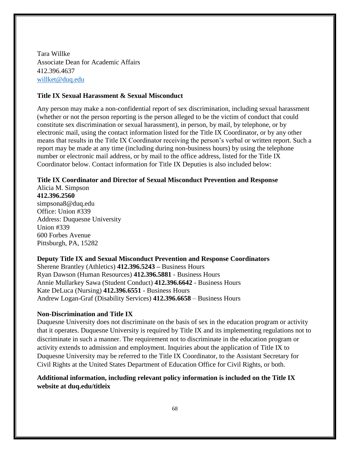Tara Willke Associate Dean for Academic Affairs 412.396.4637 [willket@duq.edu](mailto:willket@duq.edu)

#### **Title IX Sexual Harassment & Sexual Misconduct**

Any person may make a non-confidential report of sex discrimination, including sexual harassment (whether or not the person reporting is the person alleged to be the victim of conduct that could constitute sex discrimination or sexual harassment), in person, by mail, by telephone, or by electronic mail, using the contact information listed for the Title IX Coordinator, or by any other means that results in the Title IX Coordinator receiving the person's verbal or written report. Such a report may be made at any time (including during non-business hours) by using the telephone number or electronic mail address, or by mail to the office address, listed for the Title IX Coordinator below. Contact information for Title IX Deputies is also included below:

# **Title IX Coordinator and Director of Sexual Misconduct Prevention and Response**

Alicia M. Simpson **412.396.2560** simpsona8@duq.edu Office: Union #339 Address: Duquesne University Union #339 600 Forbes Avenue Pittsburgh, PA, 15282

# **Deputy Title IX and Sexual Misconduct Prevention and Response Coordinators**  Sherene Brantley (Athletics) **412.396.5243 –** Business Hours Ryan Dawson (Human Resources) **412.396.5881** - Business Hours Annie Mullarkey Sawa (Student Conduct) **412.396.6642** - Business Hours Kate DeLuca (Nursing) **412.396.6551** - Business Hours

Andrew Logan-Graf (Disability Services) **412.396.6658** – Business Hours

#### **Non-Discrimination and Title IX**

Duquesne University does not discriminate on the basis of sex in the education program or activity that it operates. Duquesne University is required by Title IX and its implementing regulations not to discriminate in such a manner. The requirement not to discriminate in the education program or activity extends to admission and employment. Inquiries about the application of Title IX to Duquesne University may be referred to the Title IX Coordinator, to the Assistant Secretary for Civil Rights at the United States Department of Education Office for Civil Rights, or both.

### **Additional information, including relevant policy information is included on the Title IX website at duq.edu/titleix**